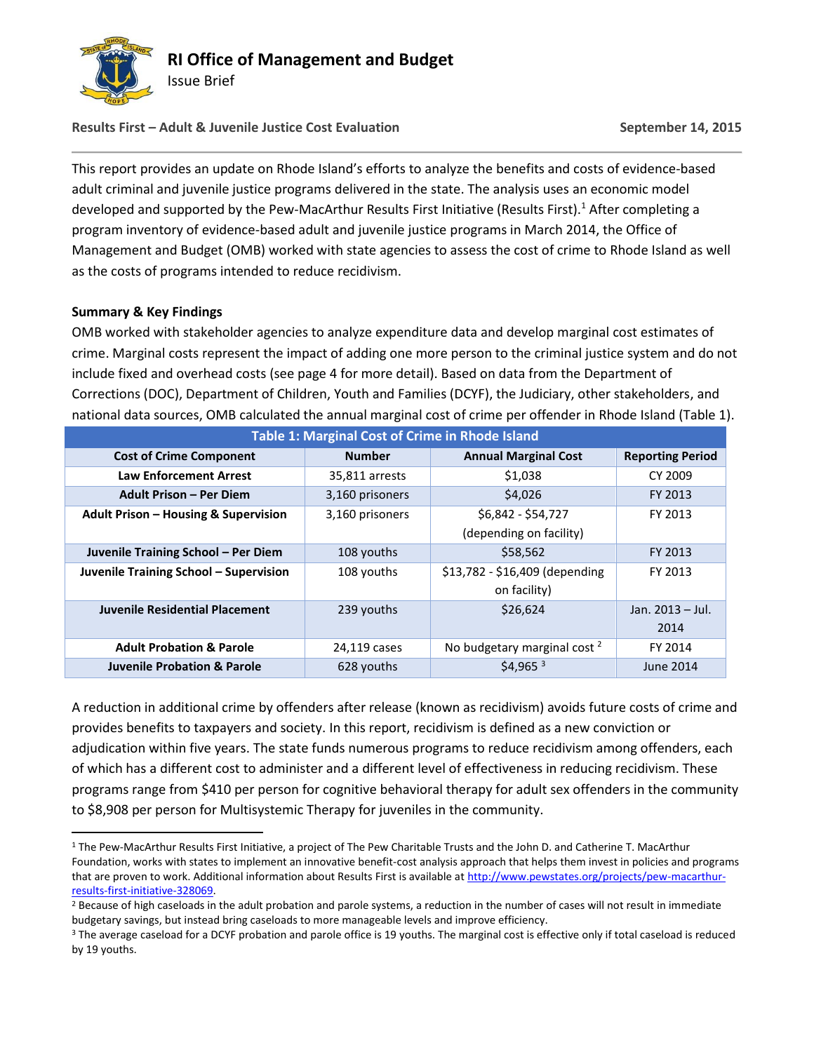

# **Results First – Adult & Juvenile Justice Cost Evaluation September 14, 2015**

This report provides an update on Rhode Island's efforts to analyze the benefits and costs of evidence-based adult criminal and juvenile justice programs delivered in the state. The analysis uses an economic model developed and supported by the Pew-MacArthur Results First Initiative (Results First).<sup>1</sup> After completing a program inventory of evidence-based adult and juvenile justice programs in March 2014, the Office of Management and Budget (OMB) worked with state agencies to assess the cost of crime to Rhode Island as well as the costs of programs intended to reduce recidivism.

## **Summary & Key Findings**

 $\overline{a}$ 

OMB worked with stakeholder agencies to analyze expenditure data and develop marginal cost estimates of crime. Marginal costs represent the impact of adding one more person to the criminal justice system and do not include fixed and overhead costs (see page 4 for more detail). Based on data from the Department of Corrections (DOC), Department of Children, Youth and Families (DCYF), the Judiciary, other stakeholders, and national data sources, OMB calculated the annual marginal cost of crime per offender in Rhode Island (Table 1).

| <b>Table 1: Marginal Cost of Crime in Rhode Island</b> |                 |                                         |                         |  |  |  |
|--------------------------------------------------------|-----------------|-----------------------------------------|-------------------------|--|--|--|
| <b>Cost of Crime Component</b>                         | <b>Number</b>   | <b>Annual Marginal Cost</b>             | <b>Reporting Period</b> |  |  |  |
| <b>Law Enforcement Arrest</b>                          | 35,811 arrests  | \$1,038                                 | CY 2009                 |  |  |  |
| <b>Adult Prison – Per Diem</b>                         | 3,160 prisoners | \$4,026                                 | FY 2013                 |  |  |  |
| <b>Adult Prison – Housing &amp; Supervision</b>        | 3,160 prisoners | \$6,842 - \$54,727<br>FY 2013           |                         |  |  |  |
|                                                        |                 | (depending on facility)                 |                         |  |  |  |
| Juvenile Training School - Per Diem                    | 108 youths      | \$58,562                                | FY 2013                 |  |  |  |
| Juvenile Training School - Supervision                 | 108 youths      | \$13,782 - \$16,409 (depending          | FY 2013                 |  |  |  |
|                                                        |                 | on facility)                            |                         |  |  |  |
| <b>Juvenile Residential Placement</b>                  | 239 youths      | \$26,624                                | Jan. 2013 - Jul.        |  |  |  |
|                                                        |                 |                                         | 2014                    |  |  |  |
| <b>Adult Probation &amp; Parole</b>                    | 24,119 cases    | No budgetary marginal cost <sup>2</sup> | FY 2014                 |  |  |  |
| <b>Juvenile Probation &amp; Parole</b>                 | 628 youths      | \$4.965 <sup>3</sup>                    | <b>June 2014</b>        |  |  |  |

A reduction in additional crime by offenders after release (known as recidivism) avoids future costs of crime and provides benefits to taxpayers and society. In this report, recidivism is defined as a new conviction or adjudication within five years. The state funds numerous programs to reduce recidivism among offenders, each of which has a different cost to administer and a different level of effectiveness in reducing recidivism. These programs range from \$410 per person for cognitive behavioral therapy for adult sex offenders in the community to \$8,908 per person for Multisystemic Therapy for juveniles in the community.

<sup>1</sup> The Pew-MacArthur Results First Initiative, a project of The Pew Charitable Trusts and the John D. and Catherine T. MacArthur Foundation, works with states to implement an innovative benefit-cost analysis approach that helps them invest in policies and programs that are proven to work. Additional information about Results First is available at [http://www.pewstates.org/projects/pew-macarthur](http://www.pewstates.org/projects/pew-macarthur-results-first-initiative-328069)[results-first-initiative-328069.](http://www.pewstates.org/projects/pew-macarthur-results-first-initiative-328069) 

<sup>&</sup>lt;sup>2</sup> Because of high caseloads in the adult probation and parole systems, a reduction in the number of cases will not result in immediate budgetary savings, but instead bring caseloads to more manageable levels and improve efficiency.

<sup>&</sup>lt;sup>3</sup> The average caseload for a DCYF probation and parole office is 19 youths. The marginal cost is effective only if total caseload is reduced by 19 youths.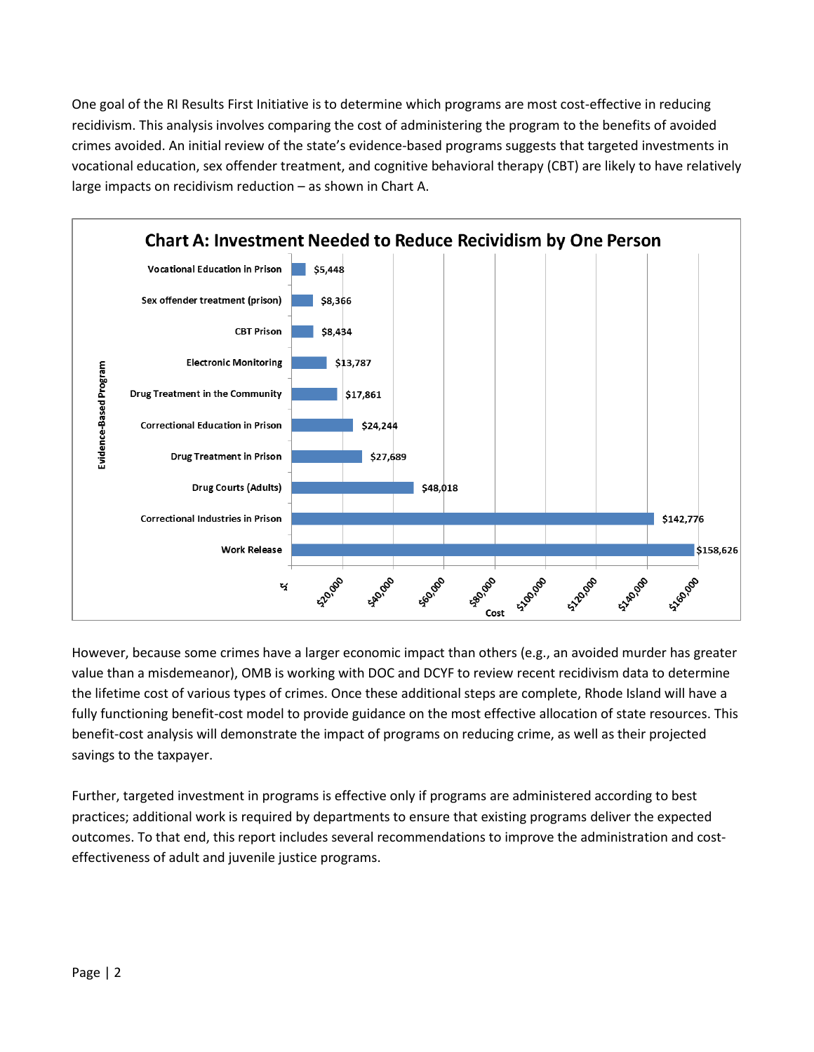One goal of the RI Results First Initiative is to determine which programs are most cost-effective in reducing recidivism. This analysis involves comparing the cost of administering the program to the benefits of avoided crimes avoided. An initial review of the state's evidence-based programs suggests that targeted investments in vocational education, sex offender treatment, and cognitive behavioral therapy (CBT) are likely to have relatively large impacts on recidivism reduction – as shown in Chart A.



However, because some crimes have a larger economic impact than others (e.g., an avoided murder has greater value than a misdemeanor), OMB is working with DOC and DCYF to review recent recidivism data to determine the lifetime cost of various types of crimes. Once these additional steps are complete, Rhode Island will have a fully functioning benefit-cost model to provide guidance on the most effective allocation of state resources. This benefit-cost analysis will demonstrate the impact of programs on reducing crime, as well as their projected savings to the taxpayer.

Further, targeted investment in programs is effective only if programs are administered according to best practices; additional work is required by departments to ensure that existing programs deliver the expected outcomes. To that end, this report includes several recommendations to improve the administration and costeffectiveness of adult and juvenile justice programs.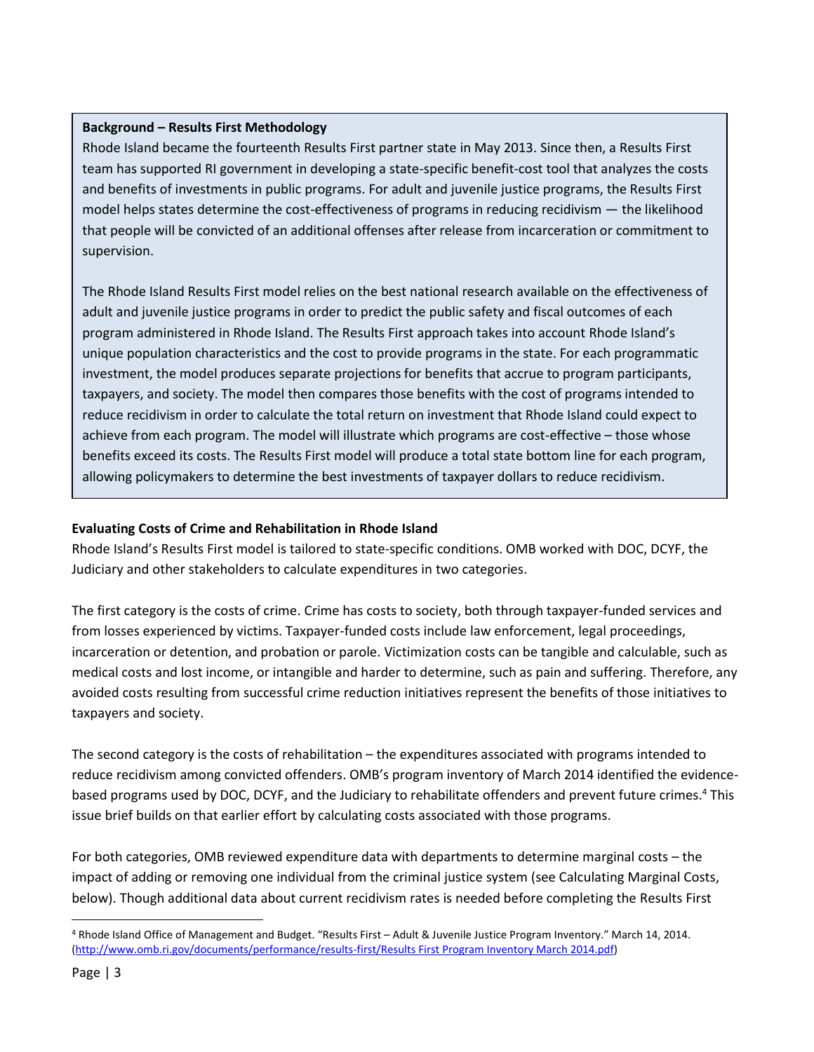# **Background – Results First Methodology**

Rhode Island became the fourteenth Results First partner state in May 2013. Since then, a Results First team has supported RI government in developing a state-specific benefit-cost tool that analyzes the costs and benefits of investments in public programs. For adult and juvenile justice programs, the Results First model helps states determine the cost-effectiveness of programs in reducing recidivism — the likelihood that people will be convicted of an additional offenses after release from incarceration or commitment to supervision.

The Rhode Island Results First model relies on the best national research available on the effectiveness of adult and juvenile justice programs in order to predict the public safety and fiscal outcomes of each program administered in Rhode Island. The Results First approach takes into account Rhode Island's unique population characteristics and the cost to provide programs in the state. For each programmatic investment, the model produces separate projections for benefits that accrue to program participants, taxpayers, and society. The model then compares those benefits with the cost of programs intended to reduce recidivism in order to calculate the total return on investment that Rhode Island could expect to achieve from each program. The model will illustrate which programs are cost-effective – those whose benefits exceed its costs. The Results First model will produce a total state bottom line for each program, allowing policymakers to determine the best investments of taxpayer dollars to reduce recidivism.

# **Evaluating Costs of Crime and Rehabilitation in Rhode Island**

Rhode Island's Results First model is tailored to state-specific conditions. OMB worked with DOC, DCYF, the Judiciary and other stakeholders to calculate expenditures in two categories.

The first category is the costs of crime. Crime has costs to society, both through taxpayer-funded services and from losses experienced by victims. Taxpayer-funded costs include law enforcement, legal proceedings, incarceration or detention, and probation or parole. Victimization costs can be tangible and calculable, such as medical costs and lost income, or intangible and harder to determine, such as pain and suffering. Therefore, any avoided costs resulting from successful crime reduction initiatives represent the benefits of those initiatives to taxpayers and society.

The second category is the costs of rehabilitation – the expenditures associated with programs intended to reduce recidivism among convicted offenders. OMB's program inventory of March 2014 identified the evidencebased programs used by DOC, DCYF, and the Judiciary to rehabilitate offenders and prevent future crimes.<sup>4</sup> This issue brief builds on that earlier effort by calculating costs associated with those programs.

For both categories, OMB reviewed expenditure data with departments to determine marginal costs – the impact of adding or removing one individual from the criminal justice system (see Calculating Marginal Costs, below). Though additional data about current recidivism rates is needed before completing the Results First

<sup>4</sup> Rhode Island Office of Management and Budget. "Results First – Adult & Juvenile Justice Program Inventory." March 14, 2014. [\(http://www.omb.ri.gov/documents/performance/results-first/Results First Program Inventory March 2014.pdf\)](http://www.omb.ri.gov/documents/performance/results-first/Results%20First%20Program%20Inventory%20March%202014.pdf)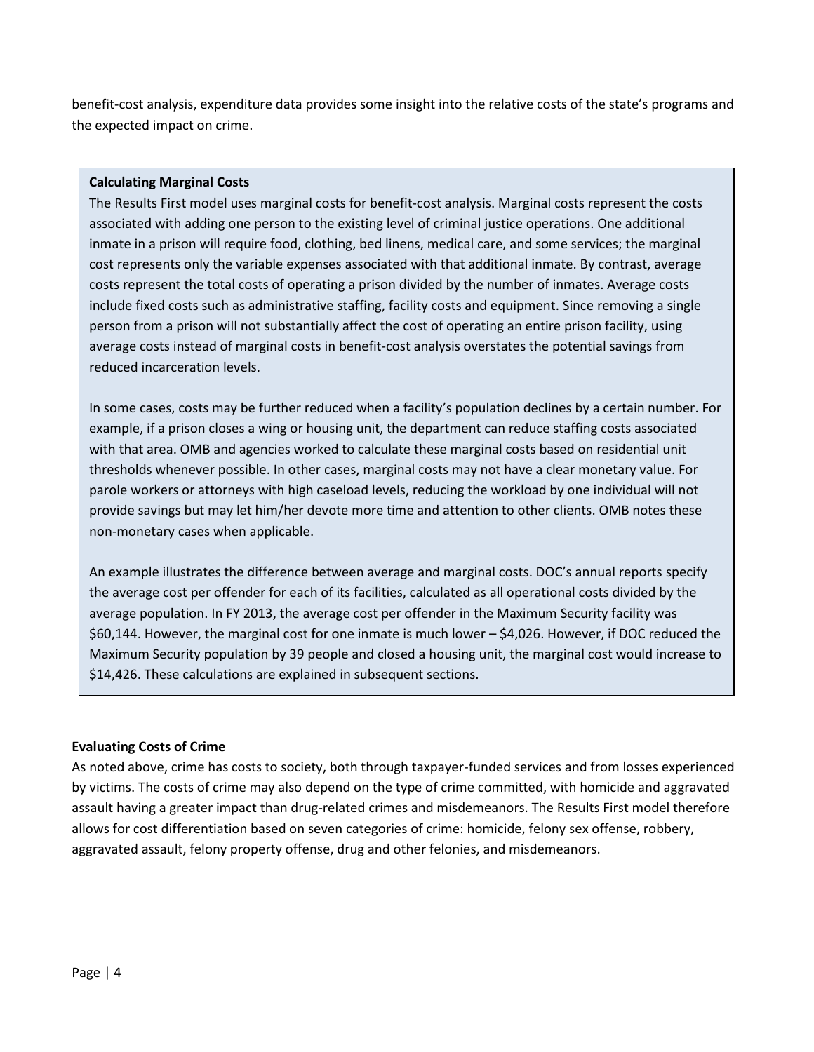benefit-cost analysis, expenditure data provides some insight into the relative costs of the state's programs and the expected impact on crime.

## **Calculating Marginal Costs**

The Results First model uses marginal costs for benefit-cost analysis. Marginal costs represent the costs associated with adding one person to the existing level of criminal justice operations. One additional inmate in a prison will require food, clothing, bed linens, medical care, and some services; the marginal cost represents only the variable expenses associated with that additional inmate. By contrast, average costs represent the total costs of operating a prison divided by the number of inmates. Average costs include fixed costs such as administrative staffing, facility costs and equipment. Since removing a single person from a prison will not substantially affect the cost of operating an entire prison facility, using average costs instead of marginal costs in benefit-cost analysis overstates the potential savings from reduced incarceration levels.

In some cases, costs may be further reduced when a facility's population declines by a certain number. For example, if a prison closes a wing or housing unit, the department can reduce staffing costs associated with that area. OMB and agencies worked to calculate these marginal costs based on residential unit thresholds whenever possible. In other cases, marginal costs may not have a clear monetary value. For parole workers or attorneys with high caseload levels, reducing the workload by one individual will not provide savings but may let him/her devote more time and attention to other clients. OMB notes these non-monetary cases when applicable.

An example illustrates the difference between average and marginal costs. DOC's annual reports specify the average cost per offender for each of its facilities, calculated as all operational costs divided by the average population. In FY 2013, the average cost per offender in the Maximum Security facility was \$60,144. However, the marginal cost for one inmate is much lower – \$4,026. However, if DOC reduced the Maximum Security population by 39 people and closed a housing unit, the marginal cost would increase to \$14,426. These calculations are explained in subsequent sections.

#### **Evaluating Costs of Crime**

As noted above, crime has costs to society, both through taxpayer-funded services and from losses experienced by victims. The costs of crime may also depend on the type of crime committed, with homicide and aggravated assault having a greater impact than drug-related crimes and misdemeanors. The Results First model therefore allows for cost differentiation based on seven categories of crime: homicide, felony sex offense, robbery, aggravated assault, felony property offense, drug and other felonies, and misdemeanors.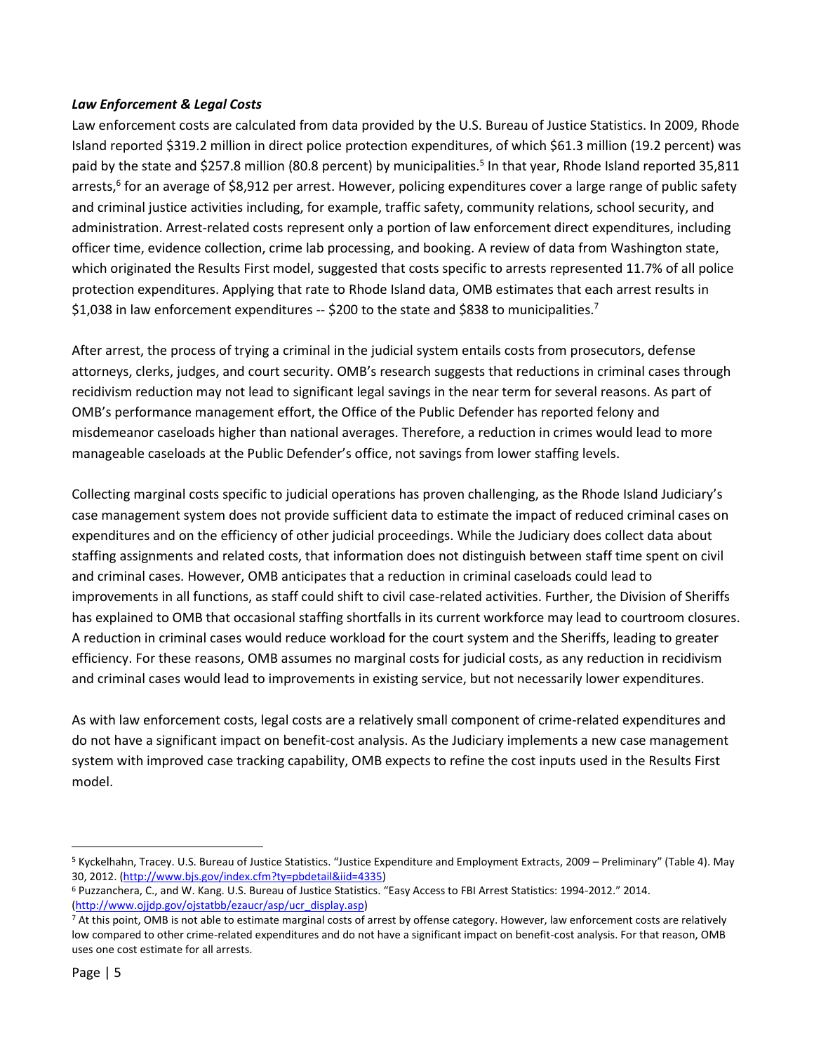## *Law Enforcement & Legal Costs*

Law enforcement costs are calculated from data provided by the U.S. Bureau of Justice Statistics. In 2009, Rhode Island reported \$319.2 million in direct police protection expenditures, of which \$61.3 million (19.2 percent) was paid by the state and \$257.8 million (80.8 percent) by municipalities.<sup>5</sup> In that year, Rhode Island reported 35,811 arrests,<sup>6</sup> for an average of \$8,912 per arrest. However, policing expenditures cover a large range of public safety and criminal justice activities including, for example, traffic safety, community relations, school security, and administration. Arrest-related costs represent only a portion of law enforcement direct expenditures, including officer time, evidence collection, crime lab processing, and booking. A review of data from Washington state, which originated the Results First model, suggested that costs specific to arrests represented 11.7% of all police protection expenditures. Applying that rate to Rhode Island data, OMB estimates that each arrest results in \$1,038 in law enforcement expenditures -- \$200 to the state and \$838 to municipalities.<sup>7</sup>

After arrest, the process of trying a criminal in the judicial system entails costs from prosecutors, defense attorneys, clerks, judges, and court security. OMB's research suggests that reductions in criminal cases through recidivism reduction may not lead to significant legal savings in the near term for several reasons. As part of OMB's performance management effort, the Office of the Public Defender has reported felony and misdemeanor caseloads higher than national averages. Therefore, a reduction in crimes would lead to more manageable caseloads at the Public Defender's office, not savings from lower staffing levels.

Collecting marginal costs specific to judicial operations has proven challenging, as the Rhode Island Judiciary's case management system does not provide sufficient data to estimate the impact of reduced criminal cases on expenditures and on the efficiency of other judicial proceedings. While the Judiciary does collect data about staffing assignments and related costs, that information does not distinguish between staff time spent on civil and criminal cases. However, OMB anticipates that a reduction in criminal caseloads could lead to improvements in all functions, as staff could shift to civil case-related activities. Further, the Division of Sheriffs has explained to OMB that occasional staffing shortfalls in its current workforce may lead to courtroom closures. A reduction in criminal cases would reduce workload for the court system and the Sheriffs, leading to greater efficiency. For these reasons, OMB assumes no marginal costs for judicial costs, as any reduction in recidivism and criminal cases would lead to improvements in existing service, but not necessarily lower expenditures.

As with law enforcement costs, legal costs are a relatively small component of crime-related expenditures and do not have a significant impact on benefit-cost analysis. As the Judiciary implements a new case management system with improved case tracking capability, OMB expects to refine the cost inputs used in the Results First model.

 $\overline{a}$ 

<sup>5</sup> Kyckelhahn, Tracey. U.S. Bureau of Justice Statistics. "Justice Expenditure and Employment Extracts, 2009 – Preliminary" (Table 4). May 30, 2012. [\(http://www.bjs.gov/index.cfm?ty=pbdetail&iid=4335\)](http://www.bjs.gov/index.cfm?ty=pbdetail&iid=4335)

<sup>6</sup> Puzzanchera, C., and W. Kang. U.S. Bureau of Justice Statistics. "Easy Access to FBI Arrest Statistics: 1994-2012." 2014. [\(http://www.ojjdp.gov/ojstatbb/ezaucr/asp/ucr\\_display.asp\)](http://www.ojjdp.gov/ojstatbb/ezaucr/asp/ucr_display.asp)

<sup>&</sup>lt;sup>7</sup> At this point, OMB is not able to estimate marginal costs of arrest by offense category. However, law enforcement costs are relatively low compared to other crime-related expenditures and do not have a significant impact on benefit-cost analysis. For that reason, OMB uses one cost estimate for all arrests.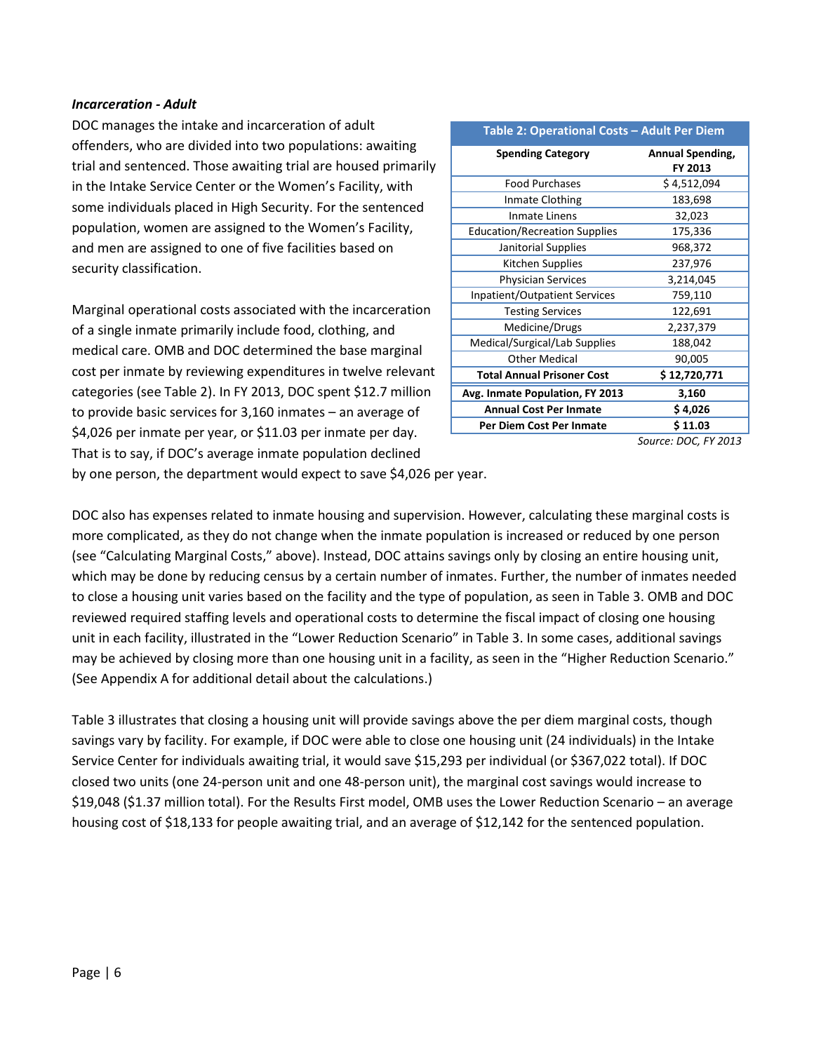#### *Incarceration - Adult*

DOC manages the intake and incarceration of adult offenders, who are divided into two populations: awaiting trial and sentenced. Those awaiting trial are housed primarily in the Intake Service Center or the Women's Facility, with some individuals placed in High Security. For the sentenced population, women are assigned to the Women's Facility, and men are assigned to one of five facilities based on security classification.

Marginal operational costs associated with the incarceration of a single inmate primarily include food, clothing, and medical care. OMB and DOC determined the base marginal cost per inmate by reviewing expenditures in twelve relevant categories (see Table 2). In FY 2013, DOC spent \$12.7 million to provide basic services for 3,160 inmates – an average of \$4,026 per inmate per year, or \$11.03 per inmate per day. That is to say, if DOC's average inmate population declined

| Table 2: Operational Costs - Adult Per Diem |                             |  |  |  |
|---------------------------------------------|-----------------------------|--|--|--|
| <b>Spending Category</b>                    | Annual Spending,<br>FY 2013 |  |  |  |
| <b>Food Purchases</b>                       | \$4,512,094                 |  |  |  |
| Inmate Clothing                             | 183,698                     |  |  |  |
| Inmate Linens                               | 32,023                      |  |  |  |
| <b>Education/Recreation Supplies</b>        | 175,336                     |  |  |  |
| Janitorial Supplies                         | 968,372                     |  |  |  |
| Kitchen Supplies                            | 237,976                     |  |  |  |
| <b>Physician Services</b>                   | 3,214,045                   |  |  |  |
| Inpatient/Outpatient Services               | 759,110                     |  |  |  |
| <b>Testing Services</b>                     | 122,691                     |  |  |  |
| Medicine/Drugs                              | 2,237,379                   |  |  |  |
| Medical/Surgical/Lab Supplies               | 188,042                     |  |  |  |
| Other Medical                               | 90,005                      |  |  |  |
| <b>Total Annual Prisoner Cost</b>           | \$12,720,771                |  |  |  |
| Avg. Inmate Population, FY 2013             | 3,160                       |  |  |  |
| <b>Annual Cost Per Inmate</b>               | \$4,026                     |  |  |  |
| Per Diem Cost Per Inmate                    | \$11.03                     |  |  |  |

*Source: DOC, FY 2013*

by one person, the department would expect to save \$4,026 per year.

DOC also has expenses related to inmate housing and supervision. However, calculating these marginal costs is more complicated, as they do not change when the inmate population is increased or reduced by one person (see "Calculating Marginal Costs," above). Instead, DOC attains savings only by closing an entire housing unit, which may be done by reducing census by a certain number of inmates. Further, the number of inmates needed to close a housing unit varies based on the facility and the type of population, as seen in Table 3. OMB and DOC reviewed required staffing levels and operational costs to determine the fiscal impact of closing one housing unit in each facility, illustrated in the "Lower Reduction Scenario" in Table 3. In some cases, additional savings may be achieved by closing more than one housing unit in a facility, as seen in the "Higher Reduction Scenario." (See Appendix A for additional detail about the calculations.)

Table 3 illustrates that closing a housing unit will provide savings above the per diem marginal costs, though savings vary by facility. For example, if DOC were able to close one housing unit (24 individuals) in the Intake Service Center for individuals awaiting trial, it would save \$15,293 per individual (or \$367,022 total). If DOC closed two units (one 24-person unit and one 48-person unit), the marginal cost savings would increase to \$19,048 (\$1.37 million total). For the Results First model, OMB uses the Lower Reduction Scenario – an average housing cost of \$18,133 for people awaiting trial, and an average of \$12,142 for the sentenced population.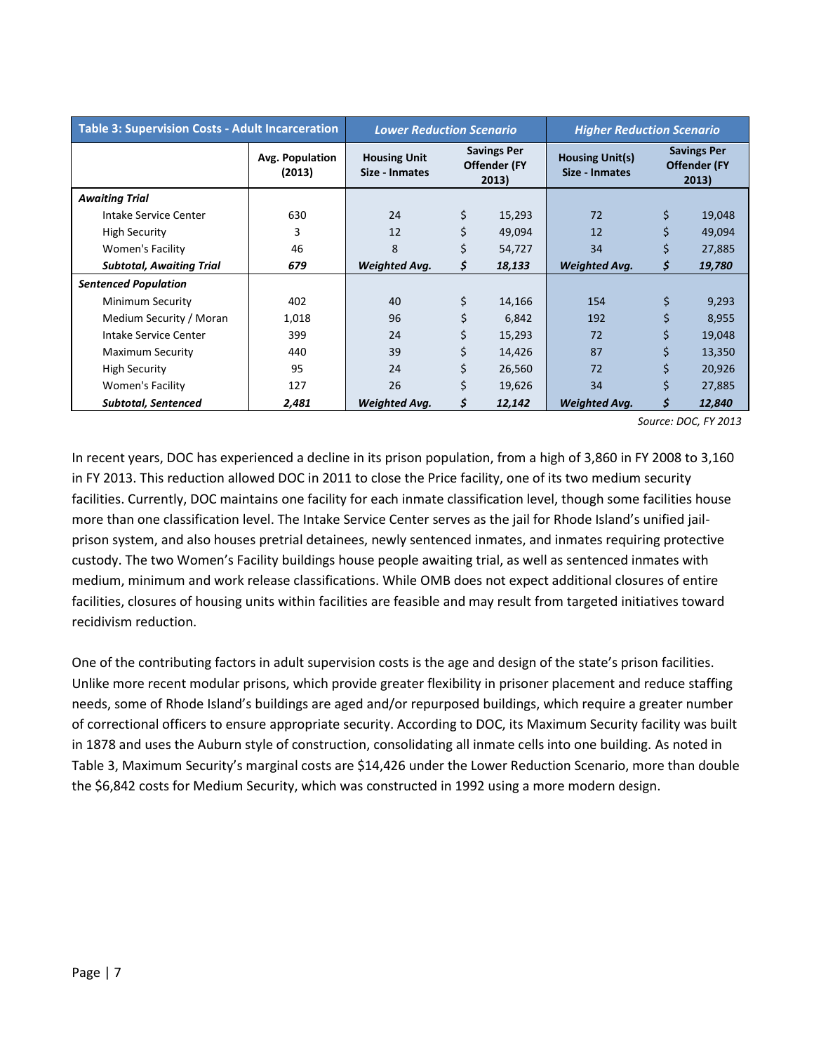| <b>Table 3: Supervision Costs - Adult Incarceration</b> |                           | <b>Lower Reduction Scenario</b>       |                                             |        | <b>Higher Reduction Scenario</b>         |                                                    |        |
|---------------------------------------------------------|---------------------------|---------------------------------------|---------------------------------------------|--------|------------------------------------------|----------------------------------------------------|--------|
|                                                         | Avg. Population<br>(2013) | <b>Housing Unit</b><br>Size - Inmates | <b>Savings Per</b><br>Offender (FY<br>2013) |        | <b>Housing Unit(s)</b><br>Size - Inmates | <b>Savings Per</b><br><b>Offender (FY</b><br>2013) |        |
| <b>Awaiting Trial</b>                                   |                           |                                       |                                             |        |                                          |                                                    |        |
| Intake Service Center                                   | 630                       | 24                                    | \$                                          | 15,293 | 72                                       | \$                                                 | 19,048 |
| <b>High Security</b>                                    | 3                         | 12                                    | \$                                          | 49,094 | 12                                       | \$                                                 | 49,094 |
| <b>Women's Facility</b>                                 | 46                        | 8                                     | \$                                          | 54,727 | 34                                       | \$                                                 | 27,885 |
| <b>Subtotal, Awaiting Trial</b>                         | 679                       | <b>Weighted Avg.</b>                  | \$                                          | 18,133 | <b>Weighted Avg.</b>                     | \$                                                 | 19,780 |
| <b>Sentenced Population</b>                             |                           |                                       |                                             |        |                                          |                                                    |        |
| Minimum Security                                        | 402                       | 40                                    | \$                                          | 14,166 | 154                                      | \$                                                 | 9,293  |
| Medium Security / Moran                                 | 1,018                     | 96                                    |                                             | 6,842  | 192                                      |                                                    | 8,955  |
| Intake Service Center                                   | 399                       | 24                                    | \$                                          | 15,293 | 72                                       | \$                                                 | 19,048 |
| <b>Maximum Security</b>                                 | 440                       | 39                                    | \$                                          | 14,426 | 87                                       | \$                                                 | 13,350 |
| <b>High Security</b>                                    | 95                        | 24                                    | \$                                          | 26,560 | 72                                       | \$                                                 | 20,926 |
| Women's Facility                                        | 127                       | 26                                    |                                             | 19,626 | 34                                       | Ś                                                  | 27,885 |
| <b>Subtotal, Sentenced</b>                              | 2,481                     | <b>Weighted Avg.</b>                  | \$                                          | 12,142 | <b>Weighted Avg.</b>                     | \$                                                 | 12,840 |

*Source: DOC, FY 2013*

In recent years, DOC has experienced a decline in its prison population, from a high of 3,860 in FY 2008 to 3,160 in FY 2013. This reduction allowed DOC in 2011 to close the Price facility, one of its two medium security facilities. Currently, DOC maintains one facility for each inmate classification level, though some facilities house more than one classification level. The Intake Service Center serves as the jail for Rhode Island's unified jailprison system, and also houses pretrial detainees, newly sentenced inmates, and inmates requiring protective custody. The two Women's Facility buildings house people awaiting trial, as well as sentenced inmates with medium, minimum and work release classifications. While OMB does not expect additional closures of entire facilities, closures of housing units within facilities are feasible and may result from targeted initiatives toward recidivism reduction.

One of the contributing factors in adult supervision costs is the age and design of the state's prison facilities. Unlike more recent modular prisons, which provide greater flexibility in prisoner placement and reduce staffing needs, some of Rhode Island's buildings are aged and/or repurposed buildings, which require a greater number of correctional officers to ensure appropriate security. According to DOC, its Maximum Security facility was built in 1878 and uses the Auburn style of construction, consolidating all inmate cells into one building. As noted in Table 3, Maximum Security's marginal costs are \$14,426 under the Lower Reduction Scenario, more than double the \$6,842 costs for Medium Security, which was constructed in 1992 using a more modern design.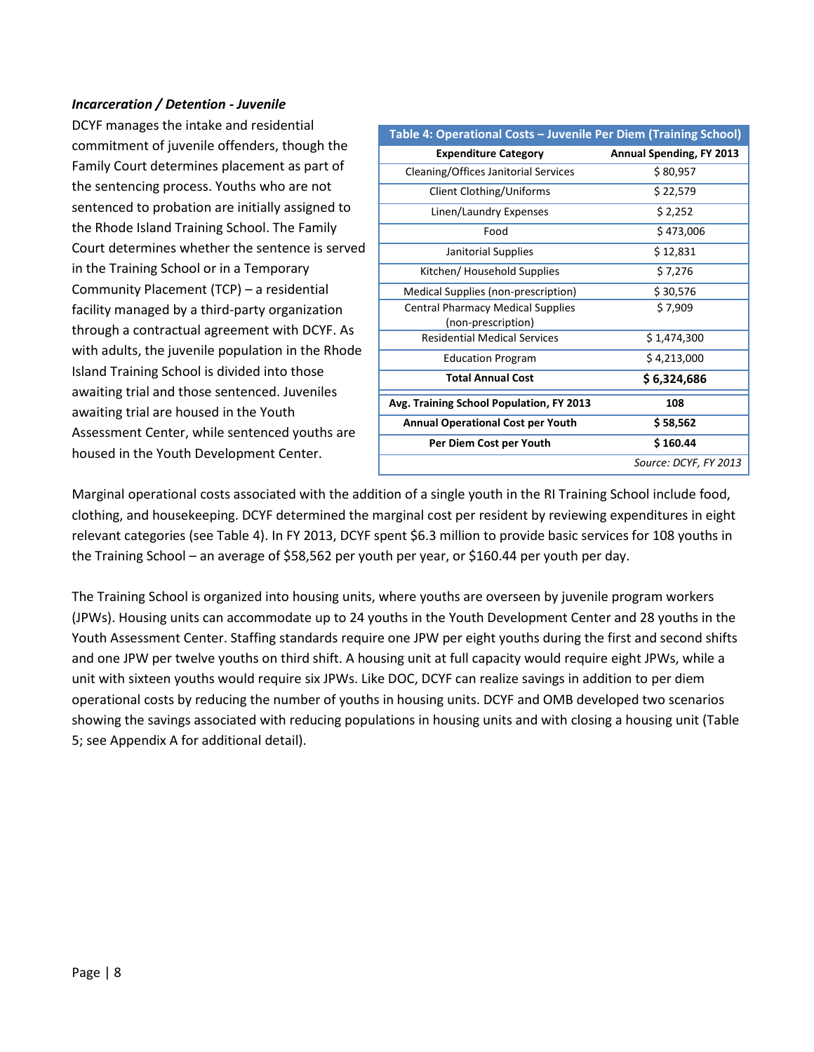#### *Incarceration / Detention - Juvenile*

DCYF manages the intake and residential commitment of juvenile offenders, though the Family Court determines placement as part of the sentencing process. Youths who are not sentenced to probation are initially assigned to the Rhode Island Training School. The Family Court determines whether the sentence is served in the Training School or in a Temporary Community Placement (TCP) – a residential facility managed by a third-party organization through a contractual agreement with DCYF. As with adults, the juvenile population in the Rhode Island Training School is divided into those awaiting trial and those sentenced. Juveniles awaiting trial are housed in the Youth Assessment Center, while sentenced youths are housed in the Youth Development Center.

| Table 4: Operational Costs - Juvenile Per Diem (Training School) |                                 |
|------------------------------------------------------------------|---------------------------------|
| <b>Expenditure Category</b>                                      | <b>Annual Spending, FY 2013</b> |
| Cleaning/Offices Janitorial Services                             | \$80,957                        |
| Client Clothing/Uniforms                                         | \$22,579                        |
| Linen/Laundry Expenses                                           | \$2,252                         |
| Food                                                             | \$473,006                       |
| Janitorial Supplies                                              | \$12,831                        |
| Kitchen/ Household Supplies                                      | \$7,276                         |
| Medical Supplies (non-prescription)                              | \$30,576                        |
| <b>Central Pharmacy Medical Supplies</b>                         | \$7,909                         |
| (non-prescription)                                               |                                 |
| <b>Residential Medical Services</b>                              | \$1,474,300                     |
| <b>Education Program</b>                                         | \$4,213,000                     |
| <b>Total Annual Cost</b>                                         | \$6,324,686                     |
| Avg. Training School Population, FY 2013                         | 108                             |
| <b>Annual Operational Cost per Youth</b>                         | \$58,562                        |
| Per Diem Cost per Youth                                          | \$160.44                        |
|                                                                  | Source: DCYF, FY 2013           |

Marginal operational costs associated with the addition of a single youth in the RI Training School include food, clothing, and housekeeping. DCYF determined the marginal cost per resident by reviewing expenditures in eight relevant categories (see Table 4). In FY 2013, DCYF spent \$6.3 million to provide basic services for 108 youths in the Training School – an average of \$58,562 per youth per year, or \$160.44 per youth per day.

The Training School is organized into housing units, where youths are overseen by juvenile program workers (JPWs). Housing units can accommodate up to 24 youths in the Youth Development Center and 28 youths in the Youth Assessment Center. Staffing standards require one JPW per eight youths during the first and second shifts and one JPW per twelve youths on third shift. A housing unit at full capacity would require eight JPWs, while a unit with sixteen youths would require six JPWs. Like DOC, DCYF can realize savings in addition to per diem operational costs by reducing the number of youths in housing units. DCYF and OMB developed two scenarios showing the savings associated with reducing populations in housing units and with closing a housing unit (Table 5; see Appendix A for additional detail).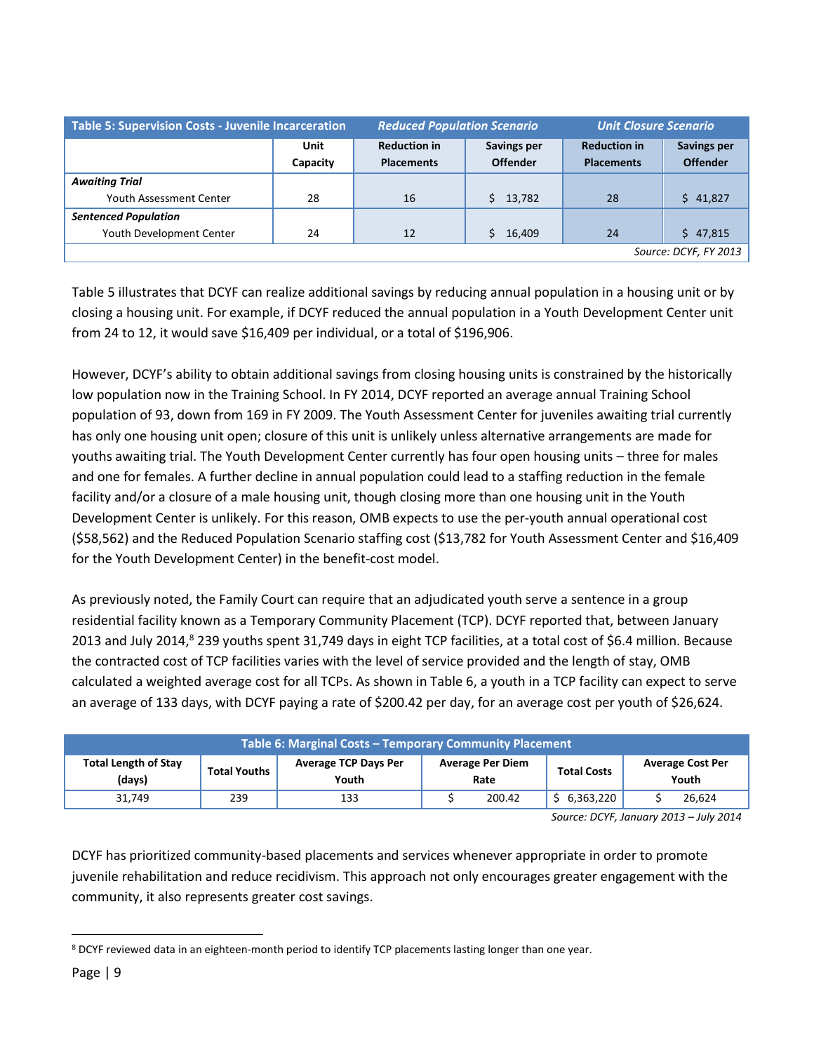| <b>Table 5: Supervision Costs - Juvenile Incarceration</b> |                  | <b>Reduced Population Scenario</b>       |                                       | <b>Unit Closure Scenario</b>             |                                       |  |
|------------------------------------------------------------|------------------|------------------------------------------|---------------------------------------|------------------------------------------|---------------------------------------|--|
|                                                            | Unit<br>Capacity | <b>Reduction in</b><br><b>Placements</b> | <b>Savings per</b><br><b>Offender</b> | <b>Reduction in</b><br><b>Placements</b> | <b>Savings per</b><br><b>Offender</b> |  |
| <b>Awaiting Trial</b>                                      |                  |                                          |                                       |                                          |                                       |  |
| Youth Assessment Center                                    | 28               | 16                                       | \$13,782                              | 28                                       | \$41,827                              |  |
| <b>Sentenced Population</b>                                |                  |                                          |                                       |                                          |                                       |  |
| Youth Development Center                                   | 24               | 12                                       | 16,409                                | 24                                       | \$47,815                              |  |
| Source: DCYF, FY 2013                                      |                  |                                          |                                       |                                          |                                       |  |

Table 5 illustrates that DCYF can realize additional savings by reducing annual population in a housing unit or by closing a housing unit. For example, if DCYF reduced the annual population in a Youth Development Center unit from 24 to 12, it would save \$16,409 per individual, or a total of \$196,906.

However, DCYF's ability to obtain additional savings from closing housing units is constrained by the historically low population now in the Training School. In FY 2014, DCYF reported an average annual Training School population of 93, down from 169 in FY 2009. The Youth Assessment Center for juveniles awaiting trial currently has only one housing unit open; closure of this unit is unlikely unless alternative arrangements are made for youths awaiting trial. The Youth Development Center currently has four open housing units – three for males and one for females. A further decline in annual population could lead to a staffing reduction in the female facility and/or a closure of a male housing unit, though closing more than one housing unit in the Youth Development Center is unlikely. For this reason, OMB expects to use the per-youth annual operational cost (\$58,562) and the Reduced Population Scenario staffing cost (\$13,782 for Youth Assessment Center and \$16,409 for the Youth Development Center) in the benefit-cost model.

As previously noted, the Family Court can require that an adjudicated youth serve a sentence in a group residential facility known as a Temporary Community Placement (TCP). DCYF reported that, between January 2013 and July 2014,<sup>8</sup> 239 youths spent 31,749 days in eight TCP facilities, at a total cost of \$6.4 million. Because the contracted cost of TCP facilities varies with the level of service provided and the length of stay, OMB calculated a weighted average cost for all TCPs. As shown in Table 6, a youth in a TCP facility can expect to serve an average of 133 days, with DCYF paying a rate of \$200.42 per day, for an average cost per youth of \$26,624.

| Table 6: Marginal Costs - Temporary Community Placement |                     |                                      |                                 |        |           |  |                    |  |                                  |
|---------------------------------------------------------|---------------------|--------------------------------------|---------------------------------|--------|-----------|--|--------------------|--|----------------------------------|
| <b>Total Length of Stay</b><br>(days)                   | <b>Total Youths</b> | <b>Average TCP Days Per</b><br>Youth | <b>Average Per Diem</b><br>Rate |        |           |  | <b>Total Costs</b> |  | <b>Average Cost Per</b><br>Youth |
| 31,749                                                  | 239                 | 133                                  |                                 | 200.42 | 6,363,220 |  | 26,624             |  |                                  |

*Source: DCYF, January 2013 – July 2014*

DCYF has prioritized community-based placements and services whenever appropriate in order to promote juvenile rehabilitation and reduce recidivism. This approach not only encourages greater engagement with the community, it also represents greater cost savings.

 $\overline{a}$ <sup>8</sup> DCYF reviewed data in an eighteen-month period to identify TCP placements lasting longer than one year.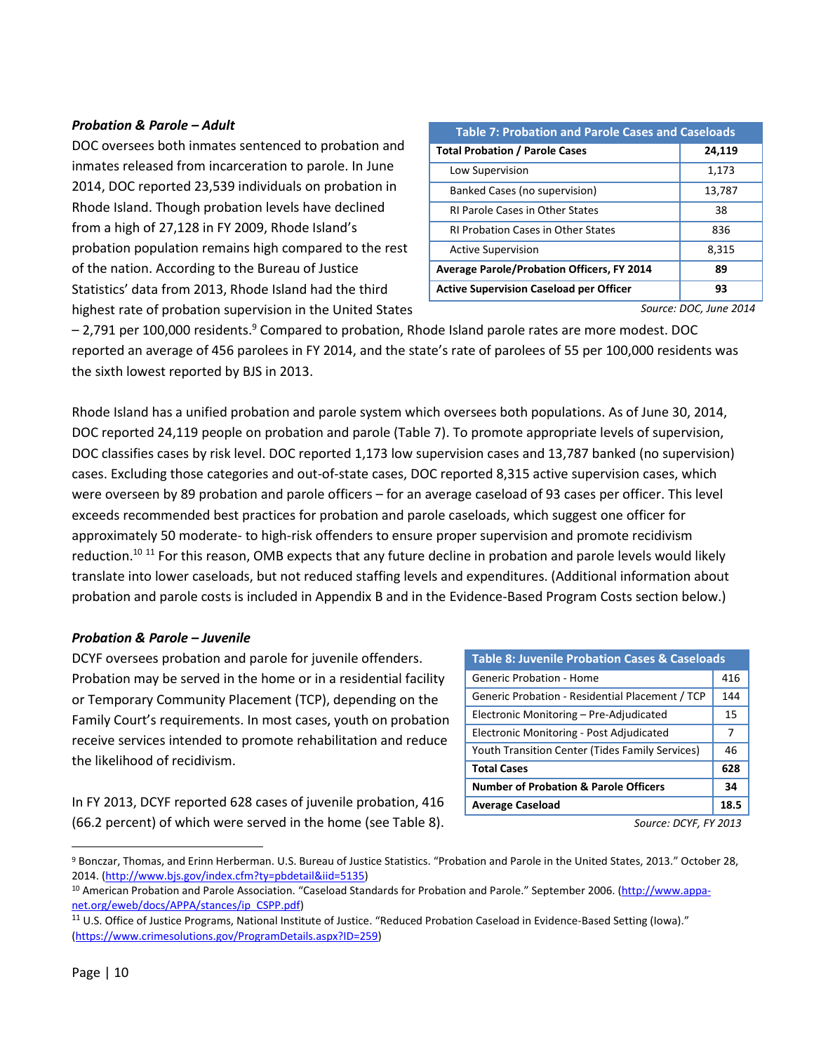### *Probation & Parole – Adult*

DOC oversees both inmates sentenced to probation and inmates released from incarceration to parole. In June 2014, DOC reported 23,539 individuals on probation in Rhode Island. Though probation levels have declined from a high of 27,128 in FY 2009, Rhode Island's probation population remains high compared to the rest of the nation. According to the Bureau of Justice Statistics' data from 2013, Rhode Island had the third highest rate of probation supervision in the United States

| <b>Table 7: Probation and Parole Cases and Caseloads</b> |        |  |  |  |
|----------------------------------------------------------|--------|--|--|--|
| <b>Total Probation / Parole Cases</b>                    | 24,119 |  |  |  |
| Low Supervision                                          | 1,173  |  |  |  |
| Banked Cases (no supervision)                            | 13,787 |  |  |  |
| <b>RI Parole Cases in Other States</b>                   | 38     |  |  |  |
| <b>RI Probation Cases in Other States</b>                | 836    |  |  |  |
| <b>Active Supervision</b>                                | 8,315  |  |  |  |
| <b>Average Parole/Probation Officers, FY 2014</b>        | 89     |  |  |  |
| <b>Active Supervision Caseload per Officer</b>           | 93     |  |  |  |

*Source: DOC, June 2014*

 $-2.791$  per 100,000 residents.<sup>9</sup> Compared to probation, Rhode Island parole rates are more modest. DOC reported an average of 456 parolees in FY 2014, and the state's rate of parolees of 55 per 100,000 residents was the sixth lowest reported by BJS in 2013.

Rhode Island has a unified probation and parole system which oversees both populations. As of June 30, 2014, DOC reported 24,119 people on probation and parole (Table 7). To promote appropriate levels of supervision, DOC classifies cases by risk level. DOC reported 1,173 low supervision cases and 13,787 banked (no supervision) cases. Excluding those categories and out-of-state cases, DOC reported 8,315 active supervision cases, which were overseen by 89 probation and parole officers – for an average caseload of 93 cases per officer. This level exceeds recommended best practices for probation and parole caseloads, which suggest one officer for approximately 50 moderate- to high-risk offenders to ensure proper supervision and promote recidivism reduction.<sup>10 11</sup> For this reason, OMB expects that any future decline in probation and parole levels would likely translate into lower caseloads, but not reduced staffing levels and expenditures. (Additional information about probation and parole costs is included in Appendix B and in the Evidence-Based Program Costs section below.)

#### *Probation & Parole – Juvenile*

DCYF oversees probation and parole for juvenile offenders. Probation may be served in the home or in a residential facility or Temporary Community Placement (TCP), depending on the Family Court's requirements. In most cases, youth on probation receive services intended to promote rehabilitation and reduce the likelihood of recidivism.

In FY 2013, DCYF reported 628 cases of juvenile probation, 416 (66.2 percent) of which were served in the home (see Table 8).

| <b>Table 8: Juvenile Probation Cases &amp; Caseloads</b> |     |  |  |  |
|----------------------------------------------------------|-----|--|--|--|
| Generic Probation - Home                                 | 416 |  |  |  |
| Generic Probation - Residential Placement / TCP          |     |  |  |  |
| Electronic Monitoring - Pre-Adjudicated                  |     |  |  |  |
| Electronic Monitoring - Post Adjudicated                 |     |  |  |  |
| Youth Transition Center (Tides Family Services)          |     |  |  |  |
| <b>Total Cases</b>                                       |     |  |  |  |
| <b>Number of Probation &amp; Parole Officers</b>         |     |  |  |  |
| <b>Average Caseload</b>                                  |     |  |  |  |

*Source: DCYF, FY 2013*

<sup>9</sup> Bonczar, Thomas, and Erinn Herberman. U.S. Bureau of Justice Statistics. "Probation and Parole in the United States, 2013." October 28, 2014. [\(http://www.bjs.gov/index.cfm?ty=pbdetail&iid=5135\)](http://www.bjs.gov/index.cfm?ty=pbdetail&iid=5135)

<sup>10</sup> American Probation and Parole Association. "Caseload Standards for Probation and Parole." September 2006. [\(http://www.appa](http://www.appa-net.org/eweb/docs/APPA/stances/ip_CSPP.pdf)[net.org/eweb/docs/APPA/stances/ip\\_CSPP.pdf\)](http://www.appa-net.org/eweb/docs/APPA/stances/ip_CSPP.pdf)

<sup>11</sup> U.S. Office of Justice Programs, National Institute of Justice. "Reduced Probation Caseload in Evidence-Based Setting (Iowa)." [\(https://www.crimesolutions.gov/ProgramDetails.aspx?ID=259\)](https://www.crimesolutions.gov/ProgramDetails.aspx?ID=259)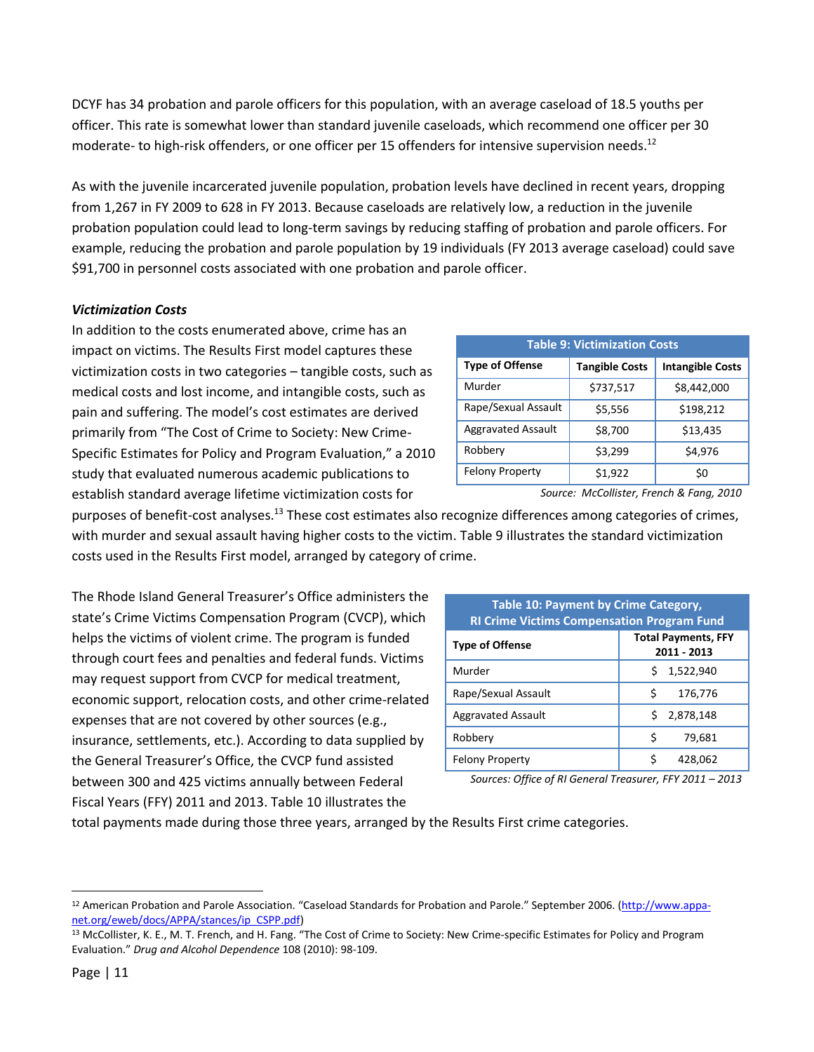DCYF has 34 probation and parole officers for this population, with an average caseload of 18.5 youths per officer. This rate is somewhat lower than standard juvenile caseloads, which recommend one officer per 30 moderate- to high-risk offenders, or one officer per 15 offenders for intensive supervision needs.<sup>12</sup>

As with the juvenile incarcerated juvenile population, probation levels have declined in recent years, dropping from 1,267 in FY 2009 to 628 in FY 2013. Because caseloads are relatively low, a reduction in the juvenile probation population could lead to long-term savings by reducing staffing of probation and parole officers. For example, reducing the probation and parole population by 19 individuals (FY 2013 average caseload) could save \$91,700 in personnel costs associated with one probation and parole officer.

# *Victimization Costs*

In addition to the costs enumerated above, crime has an impact on victims. The Results First model captures these victimization costs in two categories – tangible costs, such as medical costs and lost income, and intangible costs, such as pain and suffering. The model's cost estimates are derived primarily from "The Cost of Crime to Society: New Crime-Specific Estimates for Policy and Program Evaluation," a 2010 study that evaluated numerous academic publications to establish standard average lifetime victimization costs for

| <b>Table 9: Victimization Costs</b> |                         |             |  |  |  |  |
|-------------------------------------|-------------------------|-------------|--|--|--|--|
| <b>Type of Offense</b>              | <b>Intangible Costs</b> |             |  |  |  |  |
| Murder                              | \$737,517               | \$8,442,000 |  |  |  |  |
| Rape/Sexual Assault                 | \$5,556                 | \$198,212   |  |  |  |  |
| <b>Aggravated Assault</b>           | \$8,700                 | \$13,435    |  |  |  |  |
| Robbery                             | \$3,299                 | \$4,976     |  |  |  |  |
| <b>Felony Property</b>              | \$1,922                 | \$0         |  |  |  |  |

*Source: McCollister, French & Fang, 2010*

purposes of benefit-cost analyses.<sup>13</sup> These cost estimates also recognize differences among categories of crimes, with murder and sexual assault having higher costs to the victim. Table 9 illustrates the standard victimization costs used in the Results First model, arranged by category of crime.

The Rhode Island General Treasurer's Office administers the state's Crime Victims Compensation Program (CVCP), which helps the victims of violent crime. The program is funded through court fees and penalties and federal funds. Victims may request support from CVCP for medical treatment, economic support, relocation costs, and other crime-related expenses that are not covered by other sources (e.g., insurance, settlements, etc.). According to data supplied by the General Treasurer's Office, the CVCP fund assisted between 300 and 425 victims annually between Federal Fiscal Years (FFY) 2011 and 2013. Table 10 illustrates the

| <b>Table 10: Payment by Crime Category,</b><br><b>RI Crime Victims Compensation Program Fund</b> |                 |  |  |  |  |  |
|--------------------------------------------------------------------------------------------------|-----------------|--|--|--|--|--|
| <b>Total Payments, FFY</b><br><b>Type of Offense</b><br>2011 - 2013                              |                 |  |  |  |  |  |
| Murder                                                                                           | 1,522,940<br>S. |  |  |  |  |  |
| Rape/Sexual Assault                                                                              | Ś<br>176,776    |  |  |  |  |  |
| <b>Aggravated Assault</b>                                                                        | \$2,878,148     |  |  |  |  |  |
| Robbery                                                                                          | \$<br>79,681    |  |  |  |  |  |
| <b>Felony Property</b>                                                                           | Ś<br>428,062    |  |  |  |  |  |

*Sources: Office of RI General Treasurer, FFY 2011 – 2013*

total payments made during those three years, arranged by the Results First crime categories.

 $\overline{a}$ 

<sup>&</sup>lt;sup>12</sup> American Probation and Parole Association. "Caseload Standards for Probation and Parole." September 2006. [\(http://www.appa](http://www.appa-net.org/eweb/docs/APPA/stances/ip_CSPP.pdf)[net.org/eweb/docs/APPA/stances/ip\\_CSPP.pdf\)](http://www.appa-net.org/eweb/docs/APPA/stances/ip_CSPP.pdf)

<sup>13</sup> McCollister, K. E., M. T. French, and H. Fang. "The Cost of Crime to Society: New Crime-specific Estimates for Policy and Program Evaluation." *Drug and Alcohol Dependence* 108 (2010): 98-109.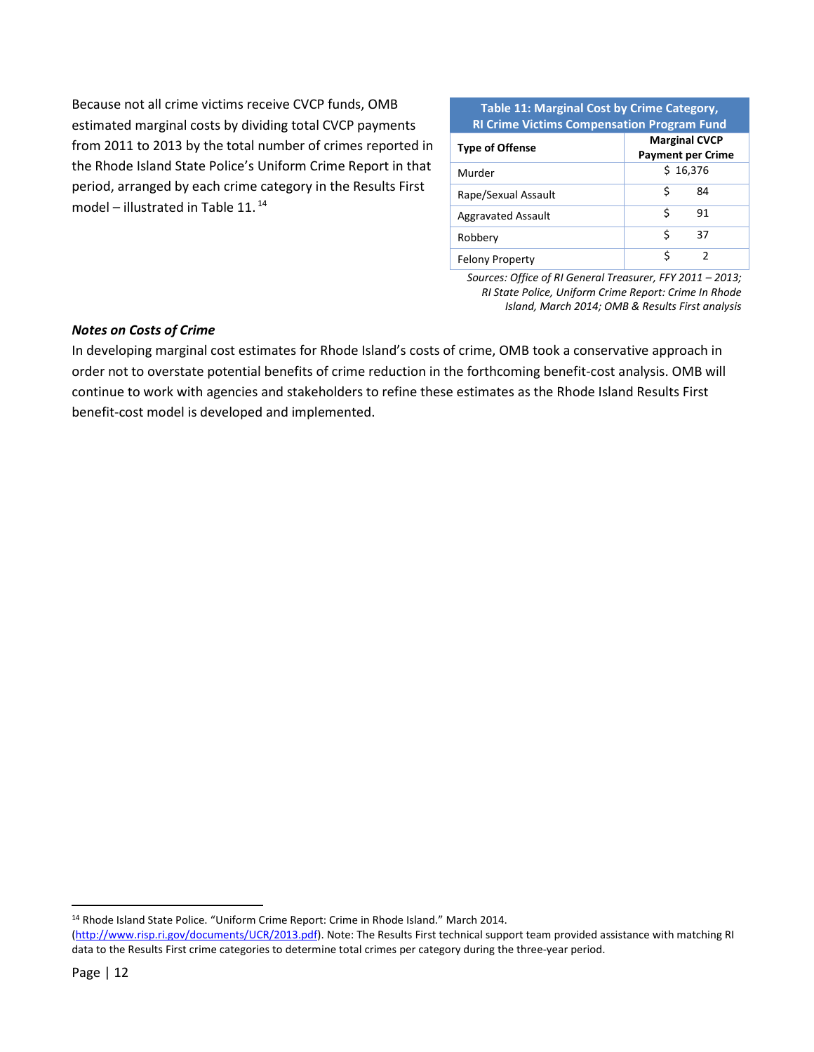Because not all crime victims receive CVCP funds, OMB estimated marginal costs by dividing total CVCP payments from 2011 to 2013 by the total number of crimes reported in the Rhode Island State Police's Uniform Crime Report in that period, arranged by each crime category in the Results First model – illustrated in Table 11. 14

#### **Table 11: Marginal Cost by Crime Category, RI Crime Victims Compensation Program Fund**

| <b>Type of Offense</b>    | <b>Marginal CVCP</b><br><b>Payment per Crime</b> |  |  |  |  |
|---------------------------|--------------------------------------------------|--|--|--|--|
| Murder                    | \$16,376                                         |  |  |  |  |
| Rape/Sexual Assault       | S<br>84                                          |  |  |  |  |
| <b>Aggravated Assault</b> | Ś<br>91                                          |  |  |  |  |
| Robbery                   | ς<br>37                                          |  |  |  |  |
| <b>Felony Property</b>    |                                                  |  |  |  |  |

*Sources: Office of RI General Treasurer, FFY 2011 – 2013; RI State Police, Uniform Crime Report: Crime In Rhode Island, March 2014; OMB & Results First analysis*

#### *Notes on Costs of Crime*

In developing marginal cost estimates for Rhode Island's costs of crime, OMB took a conservative approach in order not to overstate potential benefits of crime reduction in the forthcoming benefit-cost analysis. OMB will continue to work with agencies and stakeholders to refine these estimates as the Rhode Island Results First benefit-cost model is developed and implemented.

l

<sup>&</sup>lt;sup>14</sup> Rhode Island State Police. "Uniform Crime Report: Crime in Rhode Island." March 2014.

[<sup>\(</sup>http://www.risp.ri.gov/documents/UCR/2013.pdf\)](http://www.risp.ri.gov/documents/UCR/2013.pdf). Note: The Results First technical support team provided assistance with matching RI data to the Results First crime categories to determine total crimes per category during the three-year period.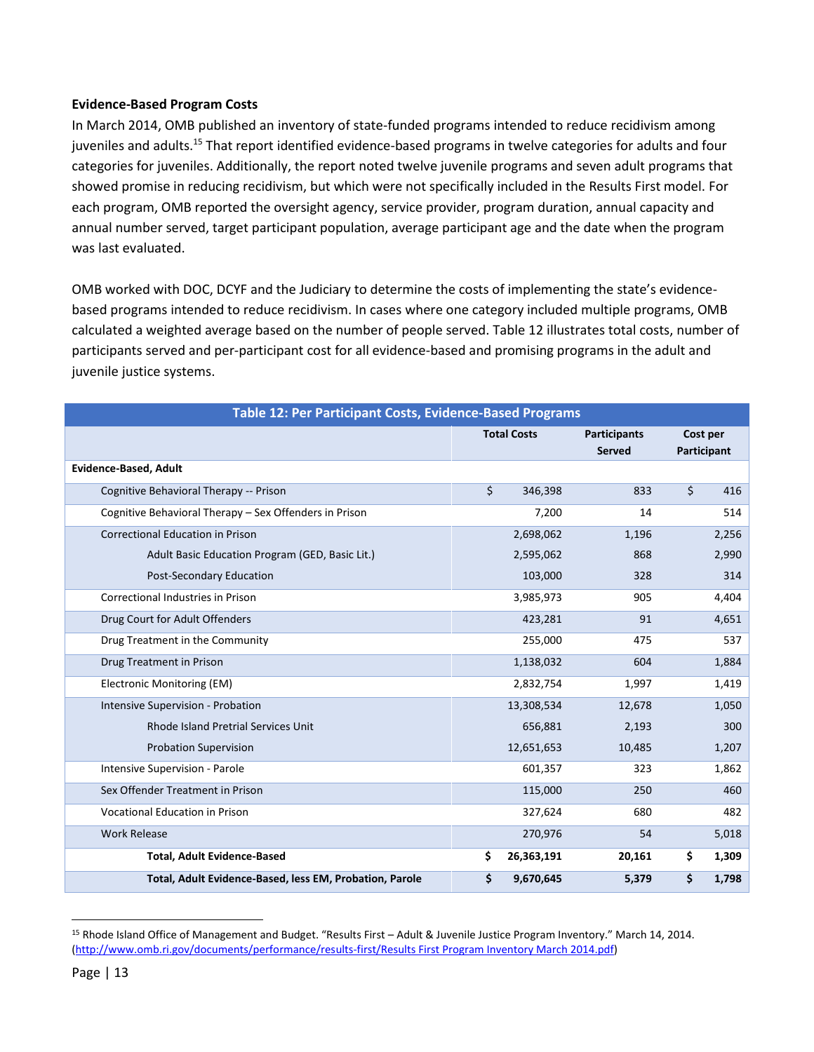#### **Evidence-Based Program Costs**

In March 2014, OMB published an inventory of state-funded programs intended to reduce recidivism among juveniles and adults.<sup>15</sup> That report identified evidence-based programs in twelve categories for adults and four categories for juveniles. Additionally, the report noted twelve juvenile programs and seven adult programs that showed promise in reducing recidivism, but which were not specifically included in the Results First model. For each program, OMB reported the oversight agency, service provider, program duration, annual capacity and annual number served, target participant population, average participant age and the date when the program was last evaluated.

OMB worked with DOC, DCYF and the Judiciary to determine the costs of implementing the state's evidencebased programs intended to reduce recidivism. In cases where one category included multiple programs, OMB calculated a weighted average based on the number of people served. Table 12 illustrates total costs, number of participants served and per-participant cost for all evidence-based and promising programs in the adult and juvenile justice systems.

| Table 12: Per Participant Costs, Evidence-Based Programs |                    |            |                     |             |       |  |  |
|----------------------------------------------------------|--------------------|------------|---------------------|-------------|-------|--|--|
|                                                          | <b>Total Costs</b> |            | <b>Participants</b> | Cost per    |       |  |  |
|                                                          |                    |            | <b>Served</b>       | Participant |       |  |  |
| <b>Evidence-Based, Adult</b>                             |                    |            |                     |             |       |  |  |
| Cognitive Behavioral Therapy -- Prison                   | \$                 | 346,398    | 833                 | \$          | 416   |  |  |
| Cognitive Behavioral Therapy - Sex Offenders in Prison   |                    | 7,200      | 14                  |             | 514   |  |  |
| <b>Correctional Education in Prison</b>                  |                    | 2,698,062  | 1,196               |             | 2,256 |  |  |
| Adult Basic Education Program (GED, Basic Lit.)          |                    | 2,595,062  | 868                 |             | 2,990 |  |  |
| Post-Secondary Education                                 |                    | 103,000    | 328                 |             | 314   |  |  |
| Correctional Industries in Prison                        |                    | 3,985,973  | 905                 |             | 4,404 |  |  |
| Drug Court for Adult Offenders                           |                    | 423,281    | 91                  |             | 4,651 |  |  |
| Drug Treatment in the Community                          |                    | 255,000    | 475                 |             | 537   |  |  |
| Drug Treatment in Prison                                 |                    | 1,138,032  | 604                 |             | 1,884 |  |  |
| Electronic Monitoring (EM)                               |                    | 2,832,754  | 1,997               |             | 1,419 |  |  |
| Intensive Supervision - Probation                        |                    | 13,308,534 | 12,678              |             | 1,050 |  |  |
| <b>Rhode Island Pretrial Services Unit</b>               |                    | 656,881    | 2,193               |             | 300   |  |  |
| <b>Probation Supervision</b>                             |                    | 12,651,653 | 10,485              |             | 1,207 |  |  |
| Intensive Supervision - Parole                           |                    | 601,357    | 323                 |             | 1,862 |  |  |
| Sex Offender Treatment in Prison                         |                    | 115,000    | 250                 |             | 460   |  |  |
| <b>Vocational Education in Prison</b>                    |                    | 327,624    | 680                 |             | 482   |  |  |
| <b>Work Release</b>                                      |                    | 270,976    | 54                  |             | 5,018 |  |  |
| <b>Total, Adult Evidence-Based</b>                       | \$                 | 26,363,191 | 20,161              | \$          | 1,309 |  |  |
| Total, Adult Evidence-Based, less EM, Probation, Parole  | \$                 | 9,670,645  | 5,379               | \$          | 1,798 |  |  |

<sup>15</sup> Rhode Island Office of Management and Budget. "Results First – Adult & Juvenile Justice Program Inventory." March 14, 2014. [\(http://www.omb.ri.gov/documents/performance/results-first/Results First Program Inventory March 2014.pdf\)](http://www.omb.ri.gov/documents/performance/results-first/Results%20First%20Program%20Inventory%20March%202014.pdf)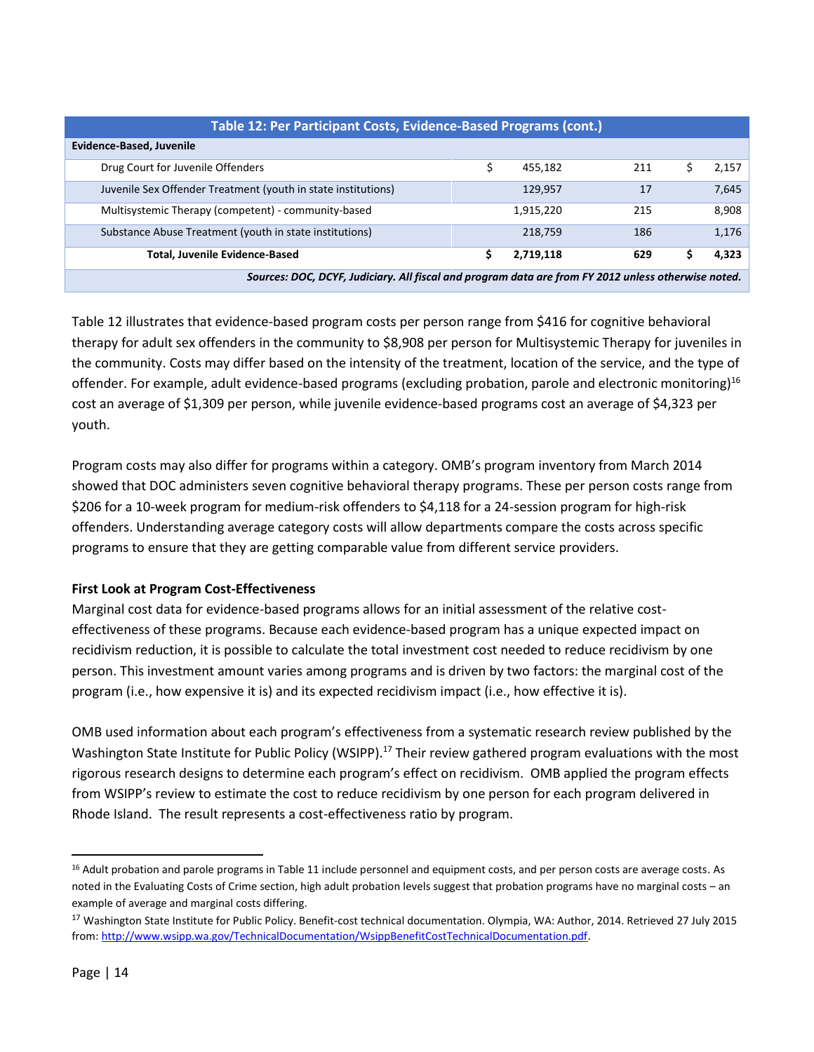| Table 12: Per Participant Costs, Evidence-Based Programs (cont.)                                    |    |           |     |   |       |  |  |  |  |  |  |
|-----------------------------------------------------------------------------------------------------|----|-----------|-----|---|-------|--|--|--|--|--|--|
| Evidence-Based, Juvenile                                                                            |    |           |     |   |       |  |  |  |  |  |  |
| Drug Court for Juvenile Offenders                                                                   | \$ | 455,182   | 211 | S | 2,157 |  |  |  |  |  |  |
| Juvenile Sex Offender Treatment (youth in state institutions)                                       |    | 129,957   | 17  |   | 7,645 |  |  |  |  |  |  |
| Multisystemic Therapy (competent) - community-based                                                 |    | 1,915,220 | 215 |   | 8,908 |  |  |  |  |  |  |
| Substance Abuse Treatment (youth in state institutions)                                             |    | 218,759   | 186 |   | 1,176 |  |  |  |  |  |  |
| <b>Total, Juvenile Evidence-Based</b>                                                               | \$ | 2,719,118 | 629 |   | 4,323 |  |  |  |  |  |  |
| Sources: DOC, DCYF, Judiciary. All fiscal and program data are from FY 2012 unless otherwise noted. |    |           |     |   |       |  |  |  |  |  |  |

Table 12 illustrates that evidence-based program costs per person range from \$416 for cognitive behavioral therapy for adult sex offenders in the community to \$8,908 per person for Multisystemic Therapy for juveniles in the community. Costs may differ based on the intensity of the treatment, location of the service, and the type of offender. For example, adult evidence-based programs (excluding probation, parole and electronic monitoring)<sup>16</sup> cost an average of \$1,309 per person, while juvenile evidence-based programs cost an average of \$4,323 per youth.

Program costs may also differ for programs within a category. OMB's program inventory from March 2014 showed that DOC administers seven cognitive behavioral therapy programs. These per person costs range from \$206 for a 10-week program for medium-risk offenders to \$4,118 for a 24-session program for high-risk offenders. Understanding average category costs will allow departments compare the costs across specific programs to ensure that they are getting comparable value from different service providers.

# **First Look at Program Cost-Effectiveness**

Marginal cost data for evidence-based programs allows for an initial assessment of the relative costeffectiveness of these programs. Because each evidence-based program has a unique expected impact on recidivism reduction, it is possible to calculate the total investment cost needed to reduce recidivism by one person. This investment amount varies among programs and is driven by two factors: the marginal cost of the program (i.e., how expensive it is) and its expected recidivism impact (i.e., how effective it is).

OMB used information about each program's effectiveness from a systematic research review published by the Washington State Institute for Public Policy (WSIPP).<sup>17</sup> Their review gathered program evaluations with the most rigorous research designs to determine each program's effect on recidivism. OMB applied the program effects from WSIPP's review to estimate the cost to reduce recidivism by one person for each program delivered in Rhode Island. The result represents a cost-effectiveness ratio by program.

<sup>&</sup>lt;sup>16</sup> Adult probation and parole programs in Table 11 include personnel and equipment costs, and per person costs are average costs. As noted in the Evaluating Costs of Crime section, high adult probation levels suggest that probation programs have no marginal costs – an example of average and marginal costs differing.

<sup>&</sup>lt;sup>17</sup> Washington State Institute for Public Policy. Benefit-cost technical documentation. Olympia, WA: Author, 2014. Retrieved 27 July 2015 from[: http://www.wsipp.wa.gov/TechnicalDocumentation/WsippBenefitCostTechnicalDocumentation.pdf.](http://www.wsipp.wa.gov/TechnicalDocumentation/WsippBenefitCostTechnicalDocumentation.pdf)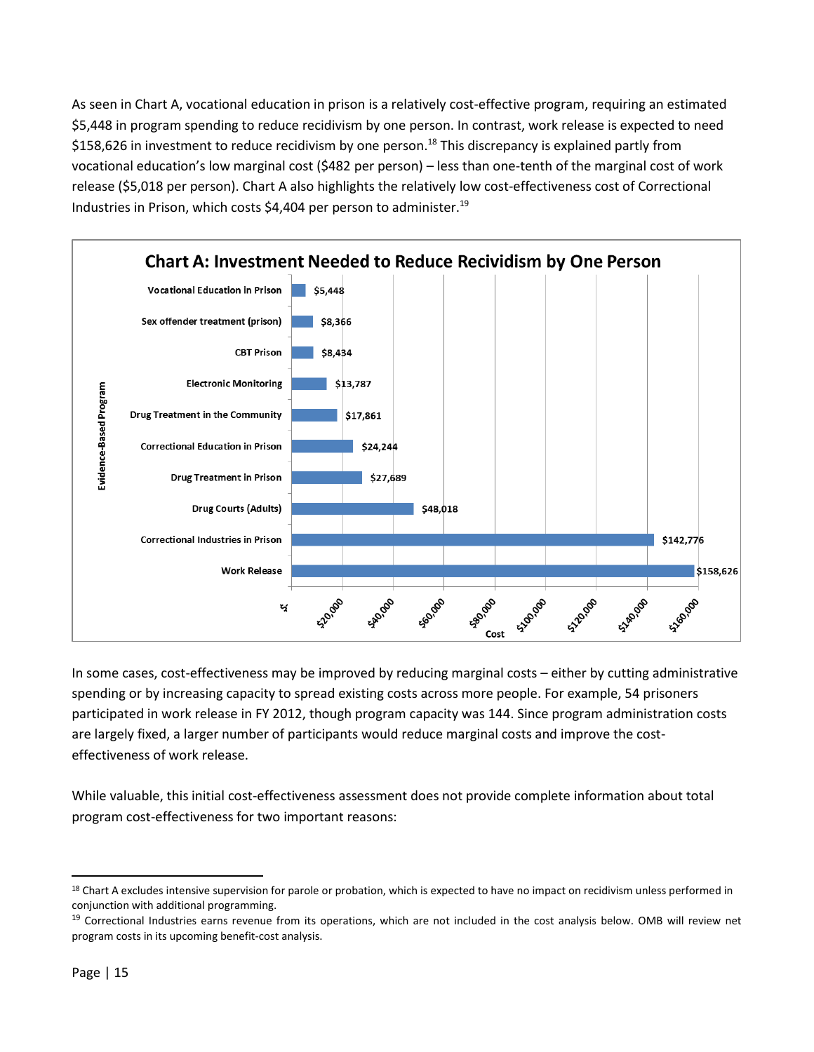As seen in Chart A, vocational education in prison is a relatively cost-effective program, requiring an estimated \$5,448 in program spending to reduce recidivism by one person. In contrast, work release is expected to need \$158,626 in investment to reduce recidivism by one person.<sup>18</sup> This discrepancy is explained partly from vocational education's low marginal cost (\$482 per person) – less than one-tenth of the marginal cost of work release (\$5,018 per person). Chart A also highlights the relatively low cost-effectiveness cost of Correctional Industries in Prison, which costs \$4,404 per person to administer.<sup>19</sup>



In some cases, cost-effectiveness may be improved by reducing marginal costs – either by cutting administrative spending or by increasing capacity to spread existing costs across more people. For example, 54 prisoners participated in work release in FY 2012, though program capacity was 144. Since program administration costs are largely fixed, a larger number of participants would reduce marginal costs and improve the costeffectiveness of work release.

While valuable, this initial cost-effectiveness assessment does not provide complete information about total program cost-effectiveness for two important reasons:

 $\overline{a}$ <sup>18</sup> Chart A excludes intensive supervision for parole or probation, which is expected to have no impact on recidivism unless performed in conjunction with additional programming.

<sup>&</sup>lt;sup>19</sup> Correctional Industries earns revenue from its operations, which are not included in the cost analysis below. OMB will review net program costs in its upcoming benefit-cost analysis.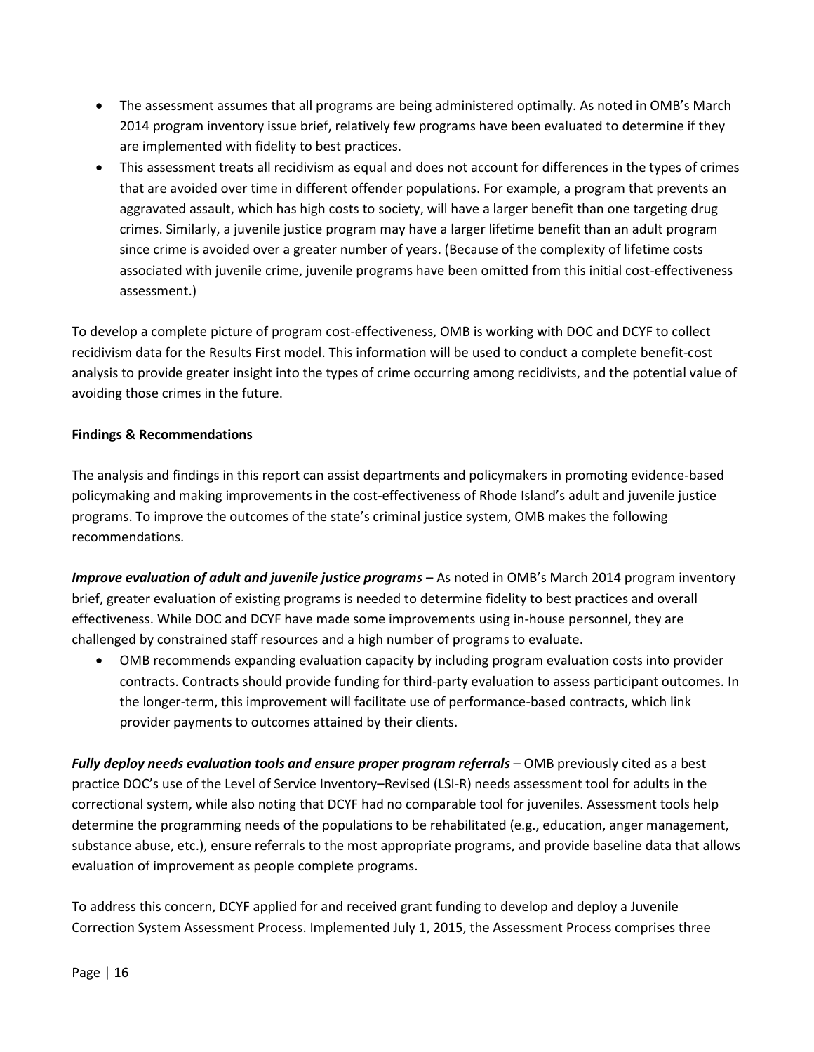- The assessment assumes that all programs are being administered optimally. As noted in OMB's March 2014 program inventory issue brief, relatively few programs have been evaluated to determine if they are implemented with fidelity to best practices.
- This assessment treats all recidivism as equal and does not account for differences in the types of crimes that are avoided over time in different offender populations. For example, a program that prevents an aggravated assault, which has high costs to society, will have a larger benefit than one targeting drug crimes. Similarly, a juvenile justice program may have a larger lifetime benefit than an adult program since crime is avoided over a greater number of years. (Because of the complexity of lifetime costs associated with juvenile crime, juvenile programs have been omitted from this initial cost-effectiveness assessment.)

To develop a complete picture of program cost-effectiveness, OMB is working with DOC and DCYF to collect recidivism data for the Results First model. This information will be used to conduct a complete benefit-cost analysis to provide greater insight into the types of crime occurring among recidivists, and the potential value of avoiding those crimes in the future.

# **Findings & Recommendations**

The analysis and findings in this report can assist departments and policymakers in promoting evidence-based policymaking and making improvements in the cost-effectiveness of Rhode Island's adult and juvenile justice programs. To improve the outcomes of the state's criminal justice system, OMB makes the following recommendations.

*Improve evaluation of adult and juvenile justice programs* – As noted in OMB's March 2014 program inventory brief, greater evaluation of existing programs is needed to determine fidelity to best practices and overall effectiveness. While DOC and DCYF have made some improvements using in-house personnel, they are challenged by constrained staff resources and a high number of programs to evaluate.

 OMB recommends expanding evaluation capacity by including program evaluation costs into provider contracts. Contracts should provide funding for third-party evaluation to assess participant outcomes. In the longer-term, this improvement will facilitate use of performance-based contracts, which link provider payments to outcomes attained by their clients.

*Fully deploy needs evaluation tools and ensure proper program referrals* – OMB previously cited as a best practice DOC's use of the Level of Service Inventory–Revised (LSI-R) needs assessment tool for adults in the correctional system, while also noting that DCYF had no comparable tool for juveniles. Assessment tools help determine the programming needs of the populations to be rehabilitated (e.g., education, anger management, substance abuse, etc.), ensure referrals to the most appropriate programs, and provide baseline data that allows evaluation of improvement as people complete programs.

To address this concern, DCYF applied for and received grant funding to develop and deploy a Juvenile Correction System Assessment Process. Implemented July 1, 2015, the Assessment Process comprises three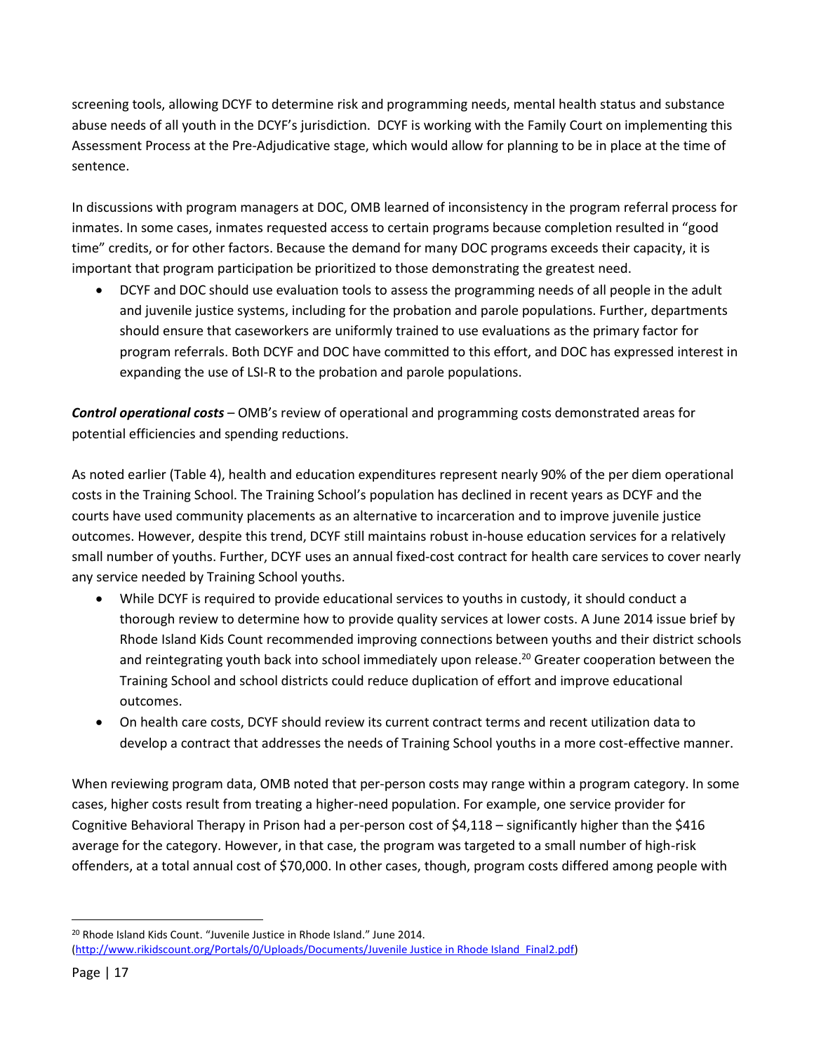screening tools, allowing DCYF to determine risk and programming needs, mental health status and substance abuse needs of all youth in the DCYF's jurisdiction. DCYF is working with the Family Court on implementing this Assessment Process at the Pre-Adjudicative stage, which would allow for planning to be in place at the time of sentence.

In discussions with program managers at DOC, OMB learned of inconsistency in the program referral process for inmates. In some cases, inmates requested access to certain programs because completion resulted in "good time" credits, or for other factors. Because the demand for many DOC programs exceeds their capacity, it is important that program participation be prioritized to those demonstrating the greatest need.

 DCYF and DOC should use evaluation tools to assess the programming needs of all people in the adult and juvenile justice systems, including for the probation and parole populations. Further, departments should ensure that caseworkers are uniformly trained to use evaluations as the primary factor for program referrals. Both DCYF and DOC have committed to this effort, and DOC has expressed interest in expanding the use of LSI-R to the probation and parole populations.

*Control operational costs* – OMB's review of operational and programming costs demonstrated areas for potential efficiencies and spending reductions.

As noted earlier (Table 4), health and education expenditures represent nearly 90% of the per diem operational costs in the Training School. The Training School's population has declined in recent years as DCYF and the courts have used community placements as an alternative to incarceration and to improve juvenile justice outcomes. However, despite this trend, DCYF still maintains robust in-house education services for a relatively small number of youths. Further, DCYF uses an annual fixed-cost contract for health care services to cover nearly any service needed by Training School youths.

- While DCYF is required to provide educational services to youths in custody, it should conduct a thorough review to determine how to provide quality services at lower costs. A June 2014 issue brief by Rhode Island Kids Count recommended improving connections between youths and their district schools and reintegrating youth back into school immediately upon release. <sup>20</sup> Greater cooperation between the Training School and school districts could reduce duplication of effort and improve educational outcomes.
- On health care costs, DCYF should review its current contract terms and recent utilization data to develop a contract that addresses the needs of Training School youths in a more cost-effective manner.

When reviewing program data, OMB noted that per-person costs may range within a program category. In some cases, higher costs result from treating a higher-need population. For example, one service provider for Cognitive Behavioral Therapy in Prison had a per-person cost of \$4,118 – significantly higher than the \$416 average for the category. However, in that case, the program was targeted to a small number of high-risk offenders, at a total annual cost of \$70,000. In other cases, though, program costs differed among people with

<sup>20</sup> Rhode Island Kids Count. "Juvenile Justice in Rhode Island." June 2014. [\(http://www.rikidscount.org/Portals/0/Uploads/Documents/Juvenile Justice in Rhode Island\\_Final2.pdf\)](http://www.rikidscount.org/Portals/0/Uploads/Documents/Juvenile%20Justice%20in%20Rhode%20Island_Final2.pdf)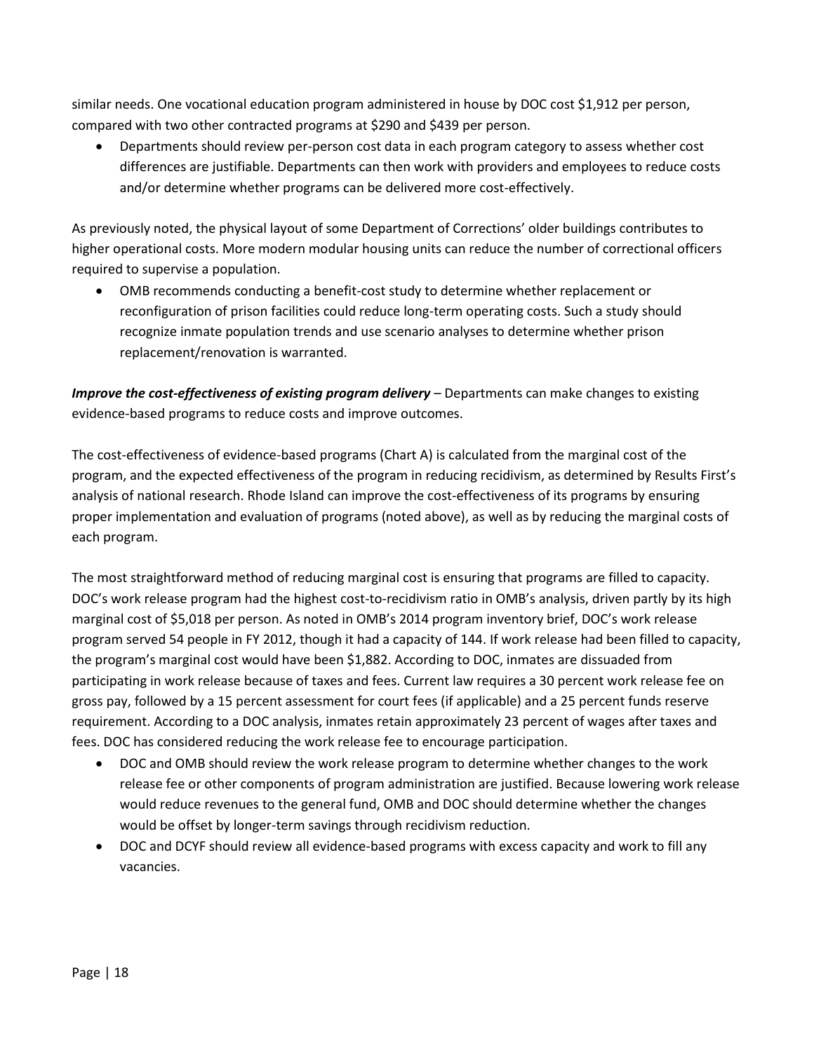similar needs. One vocational education program administered in house by DOC cost \$1,912 per person, compared with two other contracted programs at \$290 and \$439 per person.

 Departments should review per-person cost data in each program category to assess whether cost differences are justifiable. Departments can then work with providers and employees to reduce costs and/or determine whether programs can be delivered more cost-effectively.

As previously noted, the physical layout of some Department of Corrections' older buildings contributes to higher operational costs. More modern modular housing units can reduce the number of correctional officers required to supervise a population.

 OMB recommends conducting a benefit-cost study to determine whether replacement or reconfiguration of prison facilities could reduce long-term operating costs. Such a study should recognize inmate population trends and use scenario analyses to determine whether prison replacement/renovation is warranted.

*Improve the cost-effectiveness of existing program delivery* – Departments can make changes to existing evidence-based programs to reduce costs and improve outcomes.

The cost-effectiveness of evidence-based programs (Chart A) is calculated from the marginal cost of the program, and the expected effectiveness of the program in reducing recidivism, as determined by Results First's analysis of national research. Rhode Island can improve the cost-effectiveness of its programs by ensuring proper implementation and evaluation of programs (noted above), as well as by reducing the marginal costs of each program.

The most straightforward method of reducing marginal cost is ensuring that programs are filled to capacity. DOC's work release program had the highest cost-to-recidivism ratio in OMB's analysis, driven partly by its high marginal cost of \$5,018 per person. As noted in OMB's 2014 program inventory brief, DOC's work release program served 54 people in FY 2012, though it had a capacity of 144. If work release had been filled to capacity, the program's marginal cost would have been \$1,882. According to DOC, inmates are dissuaded from participating in work release because of taxes and fees. Current law requires a 30 percent work release fee on gross pay, followed by a 15 percent assessment for court fees (if applicable) and a 25 percent funds reserve requirement. According to a DOC analysis, inmates retain approximately 23 percent of wages after taxes and fees. DOC has considered reducing the work release fee to encourage participation.

- DOC and OMB should review the work release program to determine whether changes to the work release fee or other components of program administration are justified. Because lowering work release would reduce revenues to the general fund, OMB and DOC should determine whether the changes would be offset by longer-term savings through recidivism reduction.
- DOC and DCYF should review all evidence-based programs with excess capacity and work to fill any vacancies.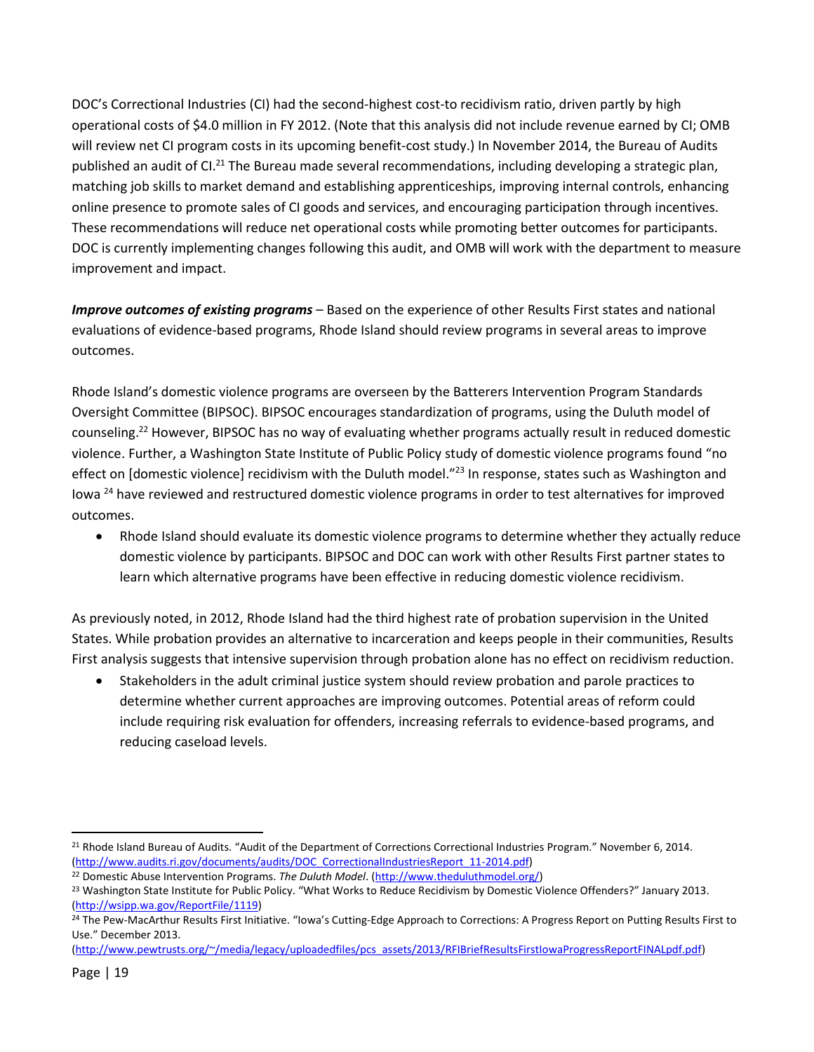DOC's Correctional Industries (CI) had the second-highest cost-to recidivism ratio, driven partly by high operational costs of \$4.0 million in FY 2012. (Note that this analysis did not include revenue earned by CI; OMB will review net CI program costs in its upcoming benefit-cost study.) In November 2014, the Bureau of Audits published an audit of CI.<sup>21</sup> The Bureau made several recommendations, including developing a strategic plan, matching job skills to market demand and establishing apprenticeships, improving internal controls, enhancing online presence to promote sales of CI goods and services, and encouraging participation through incentives. These recommendations will reduce net operational costs while promoting better outcomes for participants. DOC is currently implementing changes following this audit, and OMB will work with the department to measure improvement and impact.

*Improve outcomes of existing programs* – Based on the experience of other Results First states and national evaluations of evidence-based programs, Rhode Island should review programs in several areas to improve outcomes.

Rhode Island's domestic violence programs are overseen by the Batterers Intervention Program Standards Oversight Committee (BIPSOC). BIPSOC encourages standardization of programs, using the Duluth model of counseling.<sup>22</sup> However, BIPSOC has no way of evaluating whether programs actually result in reduced domestic violence. Further, a Washington State Institute of Public Policy study of domestic violence programs found "no effect on [domestic violence] recidivism with the Duluth model.<sup>"23</sup> In response, states such as Washington and Iowa <sup>24</sup> have reviewed and restructured domestic violence programs in order to test alternatives for improved outcomes.

 Rhode Island should evaluate its domestic violence programs to determine whether they actually reduce domestic violence by participants. BIPSOC and DOC can work with other Results First partner states to learn which alternative programs have been effective in reducing domestic violence recidivism.

As previously noted, in 2012, Rhode Island had the third highest rate of probation supervision in the United States. While probation provides an alternative to incarceration and keeps people in their communities, Results First analysis suggests that intensive supervision through probation alone has no effect on recidivism reduction.

 Stakeholders in the adult criminal justice system should review probation and parole practices to determine whether current approaches are improving outcomes. Potential areas of reform could include requiring risk evaluation for offenders, increasing referrals to evidence-based programs, and reducing caseload levels.

 $\overline{a}$ <sup>21</sup> Rhode Island Bureau of Audits. "Audit of the Department of Corrections Correctional Industries Program." November 6, 2014. [\(http://www.audits.ri.gov/documents/audits/DOC\\_CorrectionalIndustriesReport\\_11-2014.pdf\)](http://www.audits.ri.gov/documents/audits/DOC_CorrectionalIndustriesReport_11-2014.pdf)

<sup>22</sup> Domestic Abuse Intervention Programs. *The Duluth Model*. [\(http://www.theduluthmodel.org/\)](http://www.theduluthmodel.org/)

<sup>&</sup>lt;sup>23</sup> Washington State Institute for Public Policy. "What Works to Reduce Recidivism by Domestic Violence Offenders?" January 2013. [\(http://wsipp.wa.gov/ReportFile/1119\)](http://wsipp.wa.gov/ReportFile/1119)

<sup>&</sup>lt;sup>24</sup> The Pew-MacArthur Results First Initiative. "Iowa's Cutting-Edge Approach to Corrections: A Progress Report on Putting Results First to Use." December 2013.

[<sup>\(</sup>http://www.pewtrusts.org/~/media/legacy/uploadedfiles/pcs\\_assets/2013/RFIBriefResultsFirstIowaProgressReportFINALpdf.pdf\)](http://www.pewtrusts.org/~/media/legacy/uploadedfiles/pcs_assets/2013/RFIBriefResultsFirstIowaProgressReportFINALpdf.pdf)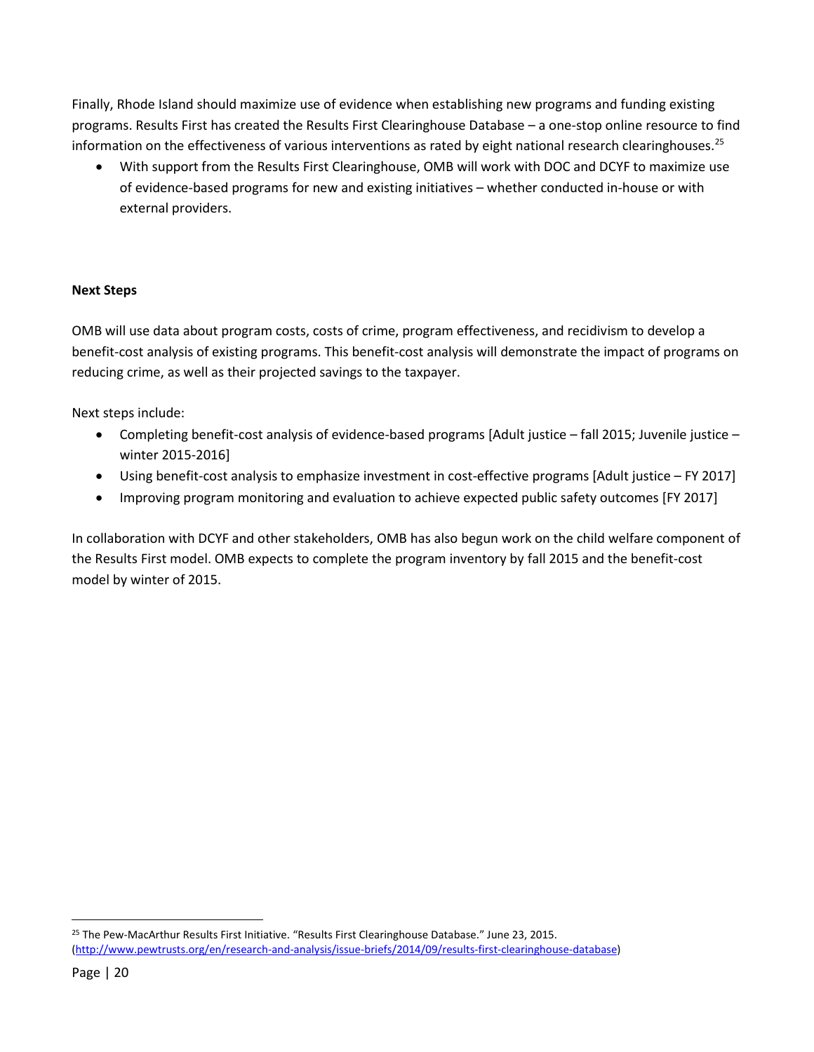Finally, Rhode Island should maximize use of evidence when establishing new programs and funding existing programs. Results First has created the Results First Clearinghouse Database – a one-stop online resource to find information on the effectiveness of various interventions as rated by eight national research clearinghouses.<sup>25</sup>

 With support from the Results First Clearinghouse, OMB will work with DOC and DCYF to maximize use of evidence-based programs for new and existing initiatives – whether conducted in-house or with external providers.

## **Next Steps**

OMB will use data about program costs, costs of crime, program effectiveness, and recidivism to develop a benefit-cost analysis of existing programs. This benefit-cost analysis will demonstrate the impact of programs on reducing crime, as well as their projected savings to the taxpayer.

Next steps include:

- Completing benefit-cost analysis of evidence-based programs [Adult justice fall 2015; Juvenile justice winter 2015-2016]
- Using benefit-cost analysis to emphasize investment in cost-effective programs [Adult justice FY 2017]
- Improving program monitoring and evaluation to achieve expected public safety outcomes [FY 2017]

In collaboration with DCYF and other stakeholders, OMB has also begun work on the child welfare component of the Results First model. OMB expects to complete the program inventory by fall 2015 and the benefit-cost model by winter of 2015.

<sup>25</sup> The Pew-MacArthur Results First Initiative. "Results First Clearinghouse Database." June 23, 2015. [\(http://www.pewtrusts.org/en/research-and-analysis/issue-briefs/2014/09/results-first-clearinghouse-database\)](http://www.pewtrusts.org/en/research-and-analysis/issue-briefs/2014/09/results-first-clearinghouse-database)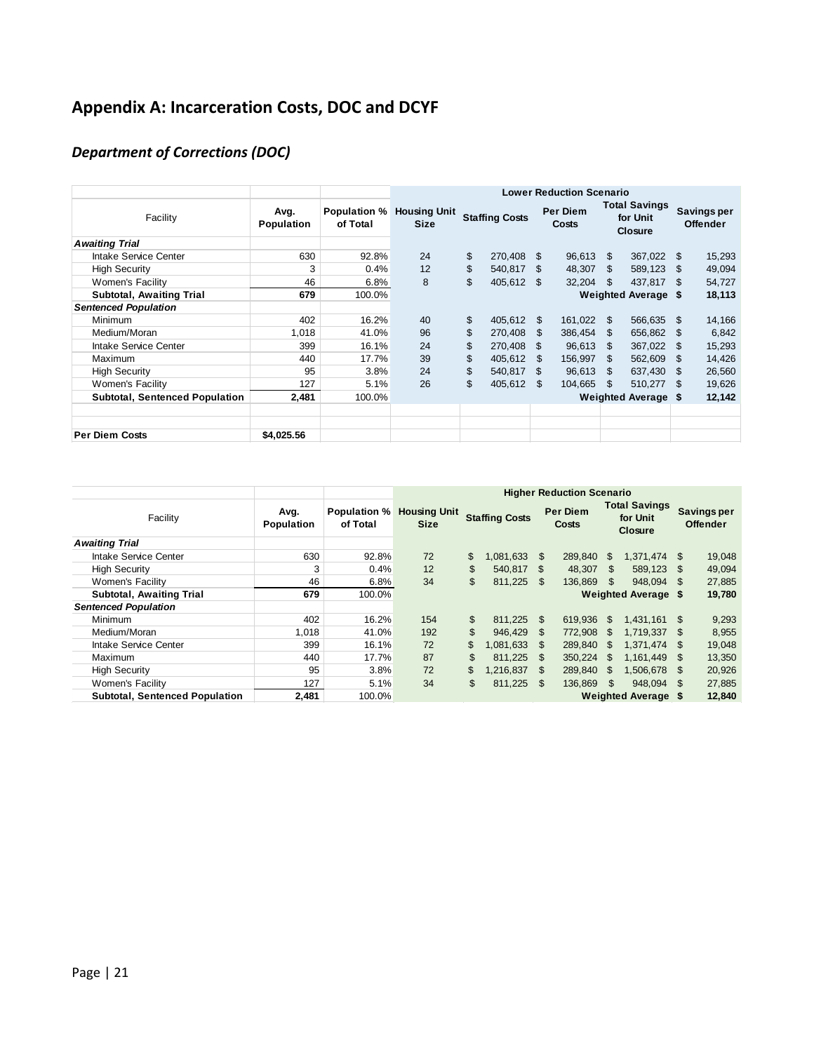# **Appendix A: Incarceration Costs, DOC and DCYF**

# *Department of Corrections (DOC)*

|                                       |                    |                                 | <b>Lower Reduction Scenario</b>    |                       |            |                            |            |                                             |                            |     |                                       |
|---------------------------------------|--------------------|---------------------------------|------------------------------------|-----------------------|------------|----------------------------|------------|---------------------------------------------|----------------------------|-----|---------------------------------------|
| Facility                              | Avg.<br>Population | <b>Population %</b><br>of Total | <b>Housing Unit</b><br><b>Size</b> | <b>Staffing Costs</b> |            | Per Diem<br>Costs          |            | <b>Total Savings</b><br>for Unit<br>Closure |                            |     | <b>Savings per</b><br><b>Offender</b> |
| <b>Awaiting Trial</b>                 |                    |                                 |                                    |                       |            |                            |            |                                             |                            |     |                                       |
| Intake Service Center                 | 630                | 92.8%                           | 24                                 | \$                    | 270,408    | - \$                       | 96,613     | \$.                                         | 367,022 \$                 |     | 15,293                                |
| <b>High Security</b>                  | 3                  | 0.4%                            | 12                                 | \$                    | 540,817    | - \$                       | 48,307     | \$.                                         | 589,123                    | \$. | 49,094                                |
| Women's Facility                      | 46                 | 6.8%                            | 8                                  | \$                    | 405,612 \$ |                            | 32,204     | \$                                          | 437.817                    | \$. | 54,727                                |
| <b>Subtotal, Awaiting Trial</b>       | 679                | 100.0%                          |                                    |                       |            |                            |            |                                             | <b>Weighted Average \$</b> |     | 18,113                                |
| <b>Sentenced Population</b>           |                    |                                 |                                    |                       |            |                            |            |                                             |                            |     |                                       |
| Minimum                               | 402                | 16.2%                           | 40                                 | \$                    | 405,612    | - \$                       | 161,022    | \$                                          | 566,635                    | \$  | 14,166                                |
| Medium/Moran                          | 1,018              | 41.0%                           | 96                                 | \$                    | 270,408    | -SS                        | 386,454 \$ |                                             | 656,862                    | \$. | 6,842                                 |
| Intake Service Center                 | 399                | 16.1%                           | 24                                 | \$                    | 270,408    | -\$                        | 96,613     | \$.                                         | 367,022                    | \$. | 15,293                                |
| Maximum                               | 440                | 17.7%                           | 39                                 | \$                    | 405,612    | \$.                        | 156,997    | \$.                                         | 562,609                    | \$. | 14,426                                |
| <b>High Security</b>                  | 95                 | 3.8%                            | 24                                 | \$                    | 540,817    | - \$                       | 96,613     | -SS                                         | 637,430                    | \$. | 26,560                                |
| Women's Facility                      | 127                | 5.1%                            | 26                                 | \$                    | 405,612    | - \$                       | 104,665    | \$                                          | 510,277                    | -S  | 19,626                                |
| <b>Subtotal, Sentenced Population</b> | 2,481              | 100.0%                          |                                    |                       |            | <b>Weighted Average \$</b> |            |                                             |                            |     | 12,142                                |
|                                       |                    |                                 |                                    |                       |            |                            |            |                                             |                            |     |                                       |
|                                       |                    |                                 |                                    |                       |            |                            |            |                                             |                            |     |                                       |
| <b>Per Diem Costs</b>                 | \$4.025.56         |                                 |                                    |                       |            |                            |            |                                             |                            |     |                                       |

|                                       |                    |                                 | <b>Higher Reduction Scenario</b>   |    |                       |      |                            |     |                            |      |        |  |  |  |  |  |  |  |  |  |  |  |  |  |  |  |  |  |  |  |  |  |  |  |  |  |                          |  |                                                    |  |                                       |
|---------------------------------------|--------------------|---------------------------------|------------------------------------|----|-----------------------|------|----------------------------|-----|----------------------------|------|--------|--|--|--|--|--|--|--|--|--|--|--|--|--|--|--|--|--|--|--|--|--|--|--|--|--|--------------------------|--|----------------------------------------------------|--|---------------------------------------|
| Facility                              | Avg.<br>Population | <b>Population %</b><br>of Total | <b>Housing Unit</b><br><b>Size</b> |    | <b>Staffing Costs</b> |      |                            |     |                            |      |        |  |  |  |  |  |  |  |  |  |  |  |  |  |  |  |  |  |  |  |  |  |  |  |  |  | <b>Per Diem</b><br>Costs |  | <b>Total Savings</b><br>for Unit<br><b>Closure</b> |  | <b>Savings per</b><br><b>Offender</b> |
| <b>Awaiting Trial</b>                 |                    |                                 |                                    |    |                       |      |                            |     |                            |      |        |  |  |  |  |  |  |  |  |  |  |  |  |  |  |  |  |  |  |  |  |  |  |  |  |  |                          |  |                                                    |  |                                       |
| Intake Service Center                 | 630                | 92.8%                           | 72                                 | \$ | 1,081,633             | -S   | 289.840                    | \$  | 1.371.474                  | -SS  | 19,048 |  |  |  |  |  |  |  |  |  |  |  |  |  |  |  |  |  |  |  |  |  |  |  |  |  |                          |  |                                                    |  |                                       |
| <b>High Security</b>                  | 3                  | 0.4%                            | 12                                 | \$ | 540.817 \$            |      | 48,307                     | -SS | 589,123                    | - \$ | 49,094 |  |  |  |  |  |  |  |  |  |  |  |  |  |  |  |  |  |  |  |  |  |  |  |  |  |                          |  |                                                    |  |                                       |
| Women's Facility                      | 46                 | 6.8%                            | 34                                 | \$ | 811,225               | - \$ | 136,869                    | \$  | 948.094 \$                 |      | 27,885 |  |  |  |  |  |  |  |  |  |  |  |  |  |  |  |  |  |  |  |  |  |  |  |  |  |                          |  |                                                    |  |                                       |
| <b>Subtotal, Awaiting Trial</b>       | 679                | 100.0%                          |                                    |    |                       |      | <b>Weighted Average \$</b> |     | 19,780                     |      |        |  |  |  |  |  |  |  |  |  |  |  |  |  |  |  |  |  |  |  |  |  |  |  |  |  |                          |  |                                                    |  |                                       |
| <b>Sentenced Population</b>           |                    |                                 |                                    |    |                       |      |                            |     |                            |      |        |  |  |  |  |  |  |  |  |  |  |  |  |  |  |  |  |  |  |  |  |  |  |  |  |  |                          |  |                                                    |  |                                       |
| Minimum                               | 402                | 16.2%                           | 154                                | \$ | 811.225               | - \$ | 619.936                    | \$. | 1.431.161                  | \$.  | 9,293  |  |  |  |  |  |  |  |  |  |  |  |  |  |  |  |  |  |  |  |  |  |  |  |  |  |                          |  |                                                    |  |                                       |
| Medium/Moran                          | 1,018              | 41.0%                           | 192                                | \$ | 946.429               | - \$ | 772.908                    | \$. | 1.719.337                  | \$.  | 8,955  |  |  |  |  |  |  |  |  |  |  |  |  |  |  |  |  |  |  |  |  |  |  |  |  |  |                          |  |                                                    |  |                                       |
| Intake Service Center                 | 399                | 16.1%                           | 72                                 | \$ | 1.081.633             | -S   | 289.840                    | \$  | 1.371.474                  | \$.  | 19,048 |  |  |  |  |  |  |  |  |  |  |  |  |  |  |  |  |  |  |  |  |  |  |  |  |  |                          |  |                                                    |  |                                       |
| Maximum                               | 440                | 17.7%                           | 87                                 | \$ | 811.225               | - \$ | 350.224                    | S.  | 1.161.449                  | \$.  | 13,350 |  |  |  |  |  |  |  |  |  |  |  |  |  |  |  |  |  |  |  |  |  |  |  |  |  |                          |  |                                                    |  |                                       |
| <b>High Security</b>                  | 95                 | 3.8%                            | 72                                 | \$ | 1.216.837             | -S   | 289.840                    | \$  | 1.506.678                  | \$.  | 20,926 |  |  |  |  |  |  |  |  |  |  |  |  |  |  |  |  |  |  |  |  |  |  |  |  |  |                          |  |                                                    |  |                                       |
| Women's Facility                      | 127                | 5.1%                            | 34                                 | \$ | 811.225               | - \$ | 136,869                    | \$  | 948.094                    | -SS  | 27,885 |  |  |  |  |  |  |  |  |  |  |  |  |  |  |  |  |  |  |  |  |  |  |  |  |  |                          |  |                                                    |  |                                       |
| <b>Subtotal, Sentenced Population</b> | 2,481              | 100.0%                          |                                    |    |                       |      |                            |     | <b>Weighted Average \$</b> |      | 12,840 |  |  |  |  |  |  |  |  |  |  |  |  |  |  |  |  |  |  |  |  |  |  |  |  |  |                          |  |                                                    |  |                                       |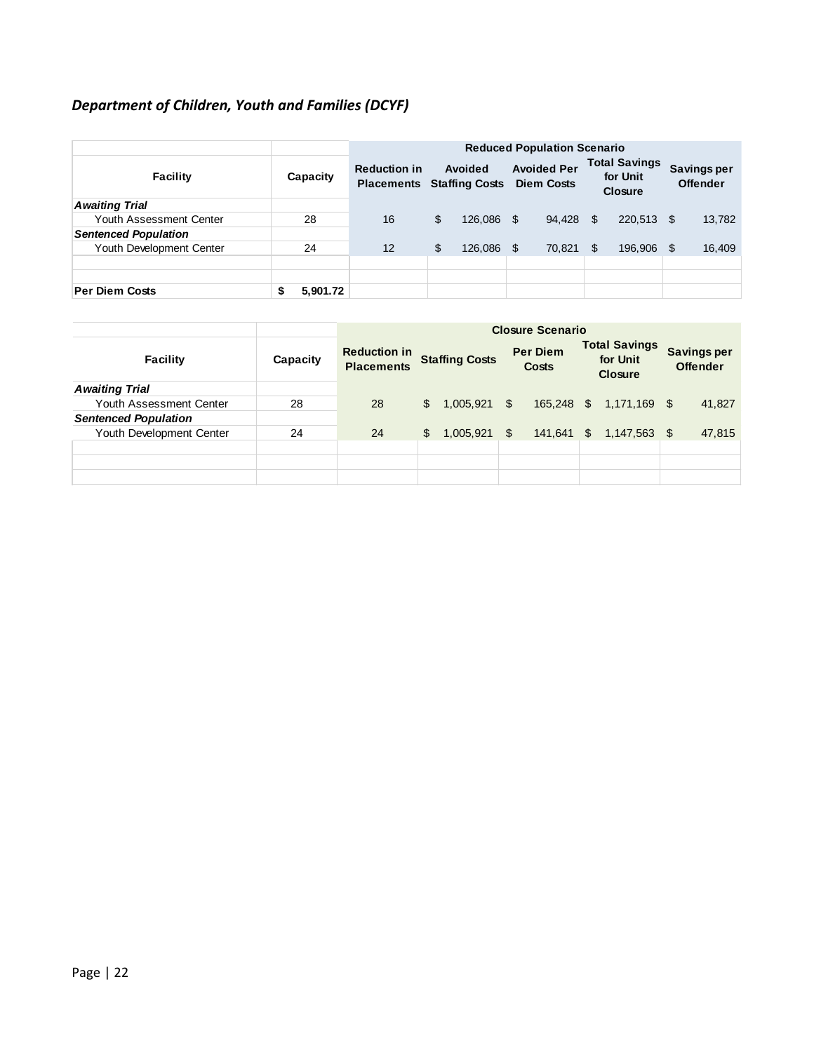# *Department of Children, Youth and Families (DCYF)*

|                             |          |                                          | <b>Reduced Population Scenario</b>      |         |                                         |        |    |                                                    |                                       |        |
|-----------------------------|----------|------------------------------------------|-----------------------------------------|---------|-----------------------------------------|--------|----|----------------------------------------------------|---------------------------------------|--------|
| <b>Facility</b>             | Capacity | <b>Reduction in</b><br><b>Placements</b> | <b>Avoided</b><br><b>Staffing Costs</b> |         | <b>Avoided Per</b><br><b>Diem Costs</b> |        |    | <b>Total Savings</b><br>for Unit<br><b>Closure</b> | <b>Savings per</b><br><b>Offender</b> |        |
| <b>Awaiting Trial</b>       |          |                                          |                                         |         |                                         |        |    |                                                    |                                       |        |
| Youth Assessment Center     | 28       | 16                                       | \$                                      | 126.086 | - \$                                    | 94.428 | \$ | 220.513 \$                                         |                                       | 13,782 |
| <b>Sentenced Population</b> |          |                                          |                                         |         |                                         |        |    |                                                    |                                       |        |
| Youth Development Center    | 24       | 12                                       | \$                                      | 126,086 | \$                                      | 70.821 | \$ | 196,906                                            | S                                     | 16,409 |
|                             |          |                                          |                                         |         |                                         |        |    |                                                    |                                       |        |
|                             |          |                                          |                                         |         |                                         |        |    |                                                    |                                       |        |
| <b>Per Diem Costs</b>       | 5,901.72 |                                          |                                         |         |                                         |        |    |                                                    |                                       |        |

|                             |          | <b>Closure Scenario</b>                  |              |                                       |     |                 |                                                    |                         |    |                                       |
|-----------------------------|----------|------------------------------------------|--------------|---------------------------------------|-----|-----------------|----------------------------------------------------|-------------------------|----|---------------------------------------|
| <b>Facility</b>             | Capacity | <b>Reduction in</b><br><b>Placements</b> |              | <b>Staffing Costs</b><br><b>Costs</b> |     | <b>Per Diem</b> | <b>Total Savings</b><br>for Unit<br><b>Closure</b> |                         |    | <b>Savings per</b><br><b>Offender</b> |
| <b>Awaiting Trial</b>       |          |                                          |              |                                       |     |                 |                                                    |                         |    |                                       |
| Youth Assessment Center     | 28       | 28                                       | $\mathbb{S}$ | $1,005,921$ \$                        |     |                 |                                                    | 165,248 \$ 1,171,169 \$ |    | 41,827                                |
| <b>Sentenced Population</b> |          |                                          |              |                                       |     |                 |                                                    |                         |    |                                       |
| Youth Development Center    | 24       | 24                                       | \$           | 1,005,921                             | \$. | 141,641         | $\mathbb{S}$                                       | 1,147,563               | \$ | 47,815                                |
|                             |          |                                          |              |                                       |     |                 |                                                    |                         |    |                                       |
|                             |          |                                          |              |                                       |     |                 |                                                    |                         |    |                                       |
|                             |          |                                          |              |                                       |     |                 |                                                    |                         |    |                                       |